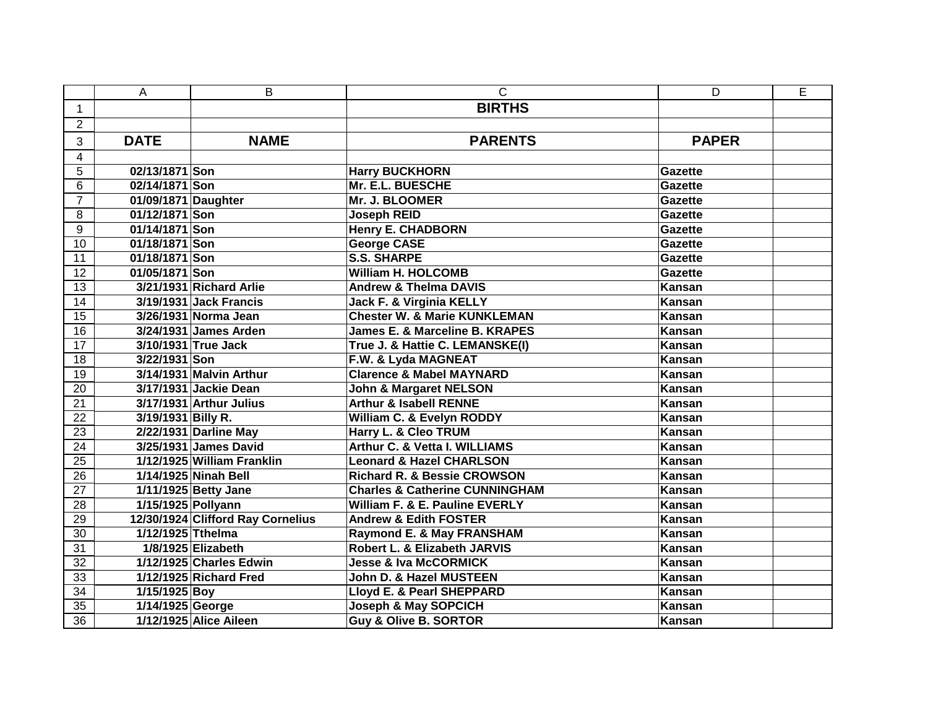|                 | Α                   | B                                 | $\mathsf{C}$                              | D              | E |
|-----------------|---------------------|-----------------------------------|-------------------------------------------|----------------|---|
| $\mathbf{1}$    |                     |                                   | <b>BIRTHS</b>                             |                |   |
| $\overline{2}$  |                     |                                   |                                           |                |   |
| 3               | <b>DATE</b>         | <b>NAME</b>                       | <b>PARENTS</b>                            | <b>PAPER</b>   |   |
| $\overline{4}$  |                     |                                   |                                           |                |   |
| $\overline{5}$  | 02/13/1871 Son      |                                   | <b>Harry BUCKHORN</b>                     | Gazette        |   |
| 6               | 02/14/1871 Son      |                                   | Mr. E.L. BUESCHE                          | <b>Gazette</b> |   |
| $\overline{7}$  | 01/09/1871 Daughter |                                   | Mr. J. BLOOMER                            | <b>Gazette</b> |   |
| 8               | 01/12/1871 Son      |                                   | <b>Joseph REID</b>                        | Gazette        |   |
| $\overline{9}$  | 01/14/1871 Son      |                                   | <b>Henry E. CHADBORN</b>                  | <b>Gazette</b> |   |
| 10              | 01/18/1871 Son      |                                   | <b>George CASE</b>                        | <b>Gazette</b> |   |
| $\overline{11}$ | 01/18/1871 Son      |                                   | <b>S.S. SHARPE</b>                        | <b>Gazette</b> |   |
| $\overline{12}$ | 01/05/1871 Son      |                                   | <b>William H. HOLCOMB</b>                 | <b>Gazette</b> |   |
| $\overline{13}$ |                     | 3/21/1931 Richard Arlie           | <b>Andrew &amp; Thelma DAVIS</b>          | <b>Kansan</b>  |   |
| $\overline{14}$ |                     | 3/19/1931 Jack Francis            | <b>Jack F. &amp; Virginia KELLY</b>       | <b>Kansan</b>  |   |
| 15              |                     | 3/26/1931 Norma Jean              | <b>Chester W. &amp; Marie KUNKLEMAN</b>   | Kansan         |   |
| $\overline{16}$ |                     | 3/24/1931 James Arden             | James E. & Marceline B. KRAPES            | <b>Kansan</b>  |   |
| $\overline{17}$ |                     | 3/10/1931 True Jack               | True J. & Hattie C. LEMANSKE(I)           | <b>Kansan</b>  |   |
| 18              | 3/22/1931 Son       |                                   | F.W. & Lyda MAGNEAT                       | Kansan         |   |
| $\overline{19}$ |                     | 3/14/1931 Malvin Arthur           | <b>Clarence &amp; Mabel MAYNARD</b>       | <b>Kansan</b>  |   |
| $\overline{20}$ |                     | 3/17/1931 Jackie Dean             | <b>John &amp; Margaret NELSON</b>         | <b>Kansan</b>  |   |
| 21              |                     | 3/17/1931 Arthur Julius           | <b>Arthur &amp; Isabell RENNE</b>         | Kansan         |   |
| $\overline{22}$ | 3/19/1931 Billy R.  |                                   | William C. & Evelyn RODDY                 | <b>Kansan</b>  |   |
| 23              |                     | 2/22/1931 Darline May             | Harry L. & Cleo TRUM                      | Kansan         |   |
| 24              |                     | 3/25/1931 James David             | Arthur C. & Vetta I. WILLIAMS             | <b>Kansan</b>  |   |
| $\overline{25}$ |                     | 1/12/1925 William Franklin        | <b>Leonard &amp; Hazel CHARLSON</b>       | <b>Kansan</b>  |   |
| $\overline{26}$ |                     | 1/14/1925 Ninah Bell              | <b>Richard R. &amp; Bessie CROWSON</b>    | Kansan         |   |
| $\overline{27}$ |                     | 1/11/1925 Betty Jane              | <b>Charles &amp; Catherine CUNNINGHAM</b> | <b>Kansan</b>  |   |
| $\overline{28}$ |                     | 1/15/1925 Pollyann                | <b>William F. &amp; E. Pauline EVERLY</b> | Kansan         |   |
| $\overline{29}$ |                     | 12/30/1924 Clifford Ray Cornelius | <b>Andrew &amp; Edith FOSTER</b>          | Kansan         |   |
| $\overline{30}$ | 1/12/1925 Tthelma   |                                   | Raymond E. & May FRANSHAM                 | <b>Kansan</b>  |   |
| 31              |                     | 1/8/1925 Elizabeth                | Robert L. & Elizabeth JARVIS              | Kansan         |   |
| $\overline{32}$ |                     | 1/12/1925 Charles Edwin           | <b>Jesse &amp; Iva McCORMICK</b>          | <b>Kansan</b>  |   |
| 33              |                     | 1/12/1925 Richard Fred            | John D. & Hazel MUSTEEN                   | Kansan         |   |
| 34              | 1/15/1925 Boy       |                                   | Lloyd E. & Pearl SHEPPARD                 | Kansan         |   |
| $\overline{35}$ | 1/14/1925 George    |                                   | <b>Joseph &amp; May SOPCICH</b>           | <b>Kansan</b>  |   |
| $\overline{36}$ |                     | 1/12/1925 Alice Aileen            | <b>Guy &amp; Olive B. SORTOR</b>          | Kansan         |   |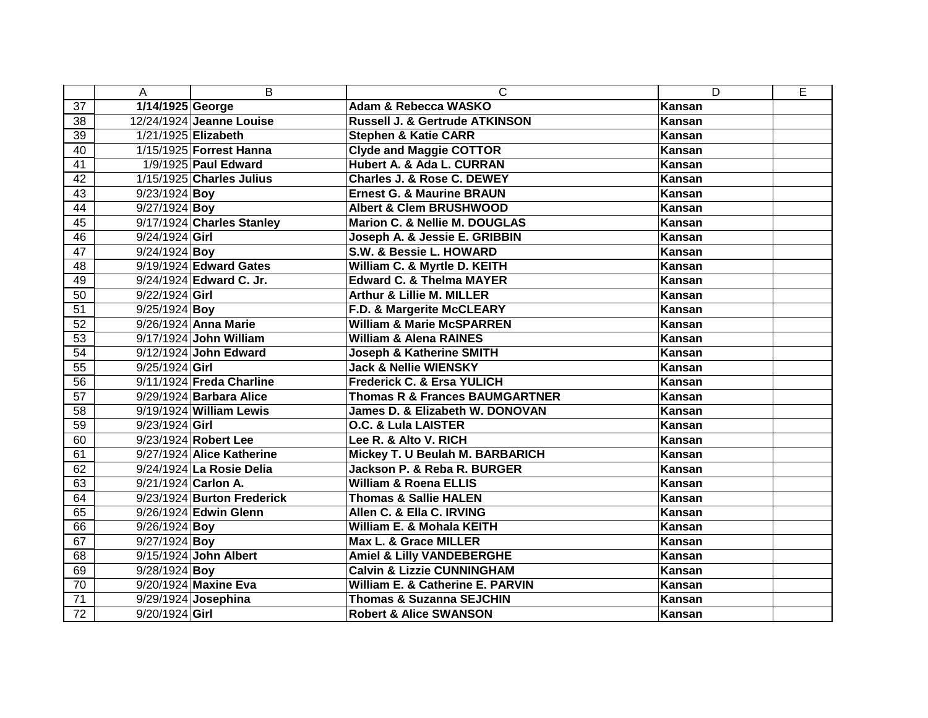|                 | A                   | B                          | $\mathsf{C}$                              | D             | E |
|-----------------|---------------------|----------------------------|-------------------------------------------|---------------|---|
| 37              | 1/14/1925 George    |                            | Adam & Rebecca WASKO                      | Kansan        |   |
| 38              |                     | 12/24/1924 Jeanne Louise   | Russell J. & Gertrude ATKINSON            | <b>Kansan</b> |   |
| 39              |                     | 1/21/1925 Elizabeth        | <b>Stephen &amp; Katie CARR</b>           | <b>Kansan</b> |   |
| 40              |                     | 1/15/1925 Forrest Hanna    | <b>Clyde and Maggie COTTOR</b>            | Kansan        |   |
| 41              |                     | 1/9/1925 Paul Edward       | Hubert A. & Ada L. CURRAN                 | Kansan        |   |
| 42              |                     | 1/15/1925 Charles Julius   | Charles J. & Rose C. DEWEY                | Kansan        |   |
| 43              | $9/23/1924$ Boy     |                            | <b>Ernest G. &amp; Maurine BRAUN</b>      | Kansan        |   |
| 44              | $9/27/1924$ Boy     |                            | <b>Albert &amp; Clem BRUSHWOOD</b>        | Kansan        |   |
| 45              |                     | 9/17/1924 Charles Stanley  | Marion C. & Nellie M. DOUGLAS             | <b>Kansan</b> |   |
| 46              | 9/24/1924 Girl      |                            | Joseph A. & Jessie E. GRIBBIN             | <b>Kansan</b> |   |
| 47              | $9/24/1924$ Boy     |                            | S.W. & Bessie L. HOWARD                   | <b>Kansan</b> |   |
| 48              |                     | $9/19/1924$ Edward Gates   | William C. & Myrtle D. KEITH              | Kansan        |   |
| 49              |                     | 9/24/1924 Edward C. Jr.    | <b>Edward C. &amp; Thelma MAYER</b>       | <b>Kansan</b> |   |
| 50              | 9/22/1924 Girl      |                            | <b>Arthur &amp; Lillie M. MILLER</b>      | <b>Kansan</b> |   |
| $\overline{51}$ | $9/25/1924$ Boy     |                            | F.D. & Margerite McCLEARY                 | <b>Kansan</b> |   |
| 52              |                     | 9/26/1924 Anna Marie       | <b>William &amp; Marie McSPARREN</b>      | <b>Kansan</b> |   |
| 53              |                     | 9/17/1924 John William     | <b>William &amp; Alena RAINES</b>         | <b>Kansan</b> |   |
| $\overline{54}$ |                     | 9/12/1924 John Edward      | <b>Joseph &amp; Katherine SMITH</b>       | <b>Kansan</b> |   |
| 55              | 9/25/1924 Girl      |                            | <b>Jack &amp; Nellie WIENSKY</b>          | <b>Kansan</b> |   |
| 56              |                     | 9/11/1924 Freda Charline   | <b>Frederick C. &amp; Ersa YULICH</b>     | Kansan        |   |
| 57              |                     | 9/29/1924 Barbara Alice    | <b>Thomas R &amp; Frances BAUMGARTNER</b> | <b>Kansan</b> |   |
| 58              |                     | 9/19/1924 William Lewis    | James D. & Elizabeth W. DONOVAN           | Kansan        |   |
| 59              | 9/23/1924 Girl      |                            | O.C. & Lula LAISTER                       | <b>Kansan</b> |   |
| 60              |                     | 9/23/1924 Robert Lee       | Lee R. & Alto V. RICH                     | Kansan        |   |
| 61              |                     | 9/27/1924 Alice Katherine  | Mickey T. U Beulah M. BARBARICH           | <b>Kansan</b> |   |
| 62              |                     | 9/24/1924 La Rosie Delia   | Jackson P. & Reba R. BURGER               | Kansan        |   |
| 63              | 9/21/1924 Carlon A. |                            | <b>William &amp; Roena ELLIS</b>          | Kansan        |   |
| 64              |                     | 9/23/1924 Burton Frederick | <b>Thomas &amp; Sallie HALEN</b>          | <b>Kansan</b> |   |
| 65              |                     | 9/26/1924 Edwin Glenn      | Allen C. & Ella C. IRVING                 | <b>Kansan</b> |   |
| 66              | $9/26/1924$ Boy     |                            | William E. & Mohala KEITH                 | <b>Kansan</b> |   |
| 67              | 9/27/1924 Boy       |                            | Max L. & Grace MILLER                     | <b>Kansan</b> |   |
| 68              |                     | 9/15/1924 John Albert      | <b>Amiel &amp; Lilly VANDEBERGHE</b>      | <b>Kansan</b> |   |
| 69              | 9/28/1924 Boy       |                            | <b>Calvin &amp; Lizzie CUNNINGHAM</b>     | <b>Kansan</b> |   |
| 70              |                     | 9/20/1924 Maxine Eva       | William E. & Catherine E. PARVIN          | <b>Kansan</b> |   |
| 71              |                     | 9/29/1924 Josephina        | <b>Thomas &amp; Suzanna SEJCHIN</b>       | Kansan        |   |
| 72              | 9/20/1924 Girl      |                            | <b>Robert &amp; Alice SWANSON</b>         | Kansan        |   |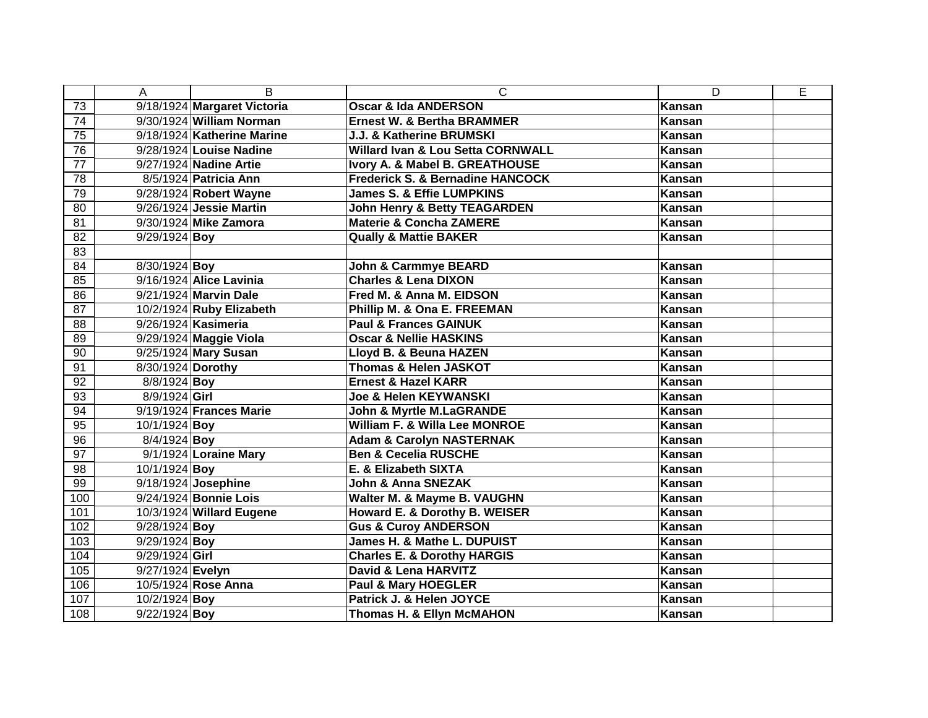|                 | A                 | B                           | $\mathsf{C}$                                 | D             | E |
|-----------------|-------------------|-----------------------------|----------------------------------------------|---------------|---|
| 73              |                   | 9/18/1924 Margaret Victoria | <b>Oscar &amp; Ida ANDERSON</b>              | <b>Kansan</b> |   |
| 74              |                   | 9/30/1924 William Norman    | <b>Ernest W. &amp; Bertha BRAMMER</b>        | <b>Kansan</b> |   |
| 75              |                   | 9/18/1924 Katherine Marine  | J.J. & Katherine BRUMSKI                     | <b>Kansan</b> |   |
| 76              |                   | 9/28/1924 Louise Nadine     | <b>Willard Ivan &amp; Lou Setta CORNWALL</b> | Kansan        |   |
| 77              |                   | 9/27/1924 Nadine Artie      | Ivory A. & Mabel B. GREATHOUSE               | Kansan        |   |
| 78              |                   | 8/5/1924 Patricia Ann       | <b>Frederick S. &amp; Bernadine HANCOCK</b>  | Kansan        |   |
| 79              |                   | 9/28/1924 Robert Wayne      | <b>James S. &amp; Effie LUMPKINS</b>         | Kansan        |   |
| 80              |                   | 9/26/1924 Jessie Martin     | <b>John Henry &amp; Betty TEAGARDEN</b>      | Kansan        |   |
| 81              |                   | 9/30/1924 Mike Zamora       | <b>Materie &amp; Concha ZAMERE</b>           | Kansan        |   |
| 82              | $9/29/1924$ Boy   |                             | <b>Qually &amp; Mattie BAKER</b>             | Kansan        |   |
| 83              |                   |                             |                                              |               |   |
| 84              | 8/30/1924 Boy     |                             | <b>John &amp; Carmmye BEARD</b>              | <b>Kansan</b> |   |
| 85              |                   | 9/16/1924 Alice Lavinia     | <b>Charles &amp; Lena DIXON</b>              | Kansan        |   |
| 86              |                   | 9/21/1924 Marvin Dale       | Fred M. & Anna M. EIDSON                     | <b>Kansan</b> |   |
| 87              |                   | 10/2/1924 Ruby Elizabeth    | Phillip M. & Ona E. FREEMAN                  | Kansan        |   |
| $\overline{88}$ |                   | 9/26/1924 Kasimeria         | <b>Paul &amp; Frances GAINUK</b>             | Kansan        |   |
| 89              |                   | 9/29/1924 Maggie Viola      | <b>Oscar &amp; Nellie HASKINS</b>            | <b>Kansan</b> |   |
| 90              |                   | 9/25/1924 Mary Susan        | Lloyd B. & Beuna HAZEN                       | <b>Kansan</b> |   |
| 91              | 8/30/1924 Dorothy |                             | <b>Thomas &amp; Helen JASKOT</b>             | Kansan        |   |
| 92              | 8/8/1924 Boy      |                             | <b>Ernest &amp; Hazel KARR</b>               | <b>Kansan</b> |   |
| 93              | 8/9/1924 Girl     |                             | <b>Joe &amp; Helen KEYWANSKI</b>             | <b>Kansan</b> |   |
| 94              |                   | 9/19/1924 Frances Marie     | <b>John &amp; Myrtle M.LaGRANDE</b>          | Kansan        |   |
| 95              | 10/1/1924 Boy     |                             | William F. & Willa Lee MONROE                | <b>Kansan</b> |   |
| 96              | 8/4/1924 Boy      |                             | <b>Adam &amp; Carolyn NASTERNAK</b>          | Kansan        |   |
| 97              |                   | 9/1/1924 Loraine Mary       | <b>Ben &amp; Cecelia RUSCHE</b>              | <b>Kansan</b> |   |
| 98              | 10/1/1924 Boy     |                             | E. & Elizabeth SIXTA                         | Kansan        |   |
| 99              |                   | 9/18/1924 Josephine         | <b>John &amp; Anna SNEZAK</b>                | Kansan        |   |
| 100             |                   | 9/24/1924 Bonnie Lois       | Walter M. & Mayme B. VAUGHN                  | <b>Kansan</b> |   |
| 101             |                   | 10/3/1924 Willard Eugene    | Howard E. & Dorothy B. WEISER                | <b>Kansan</b> |   |
| 102             | $9/28/1924$ Boy   |                             | <b>Gus &amp; Curoy ANDERSON</b>              | Kansan        |   |
| 103             | $9/29/1924$ Boy   |                             | James H. & Mathe L. DUPUIST                  | <b>Kansan</b> |   |
| 104             | 9/29/1924 Girl    |                             | <b>Charles E. &amp; Dorothy HARGIS</b>       | <b>Kansan</b> |   |
| 105             | 9/27/1924 Evelyn  |                             | David & Lena HARVITZ                         | Kansan        |   |
| 106             |                   | 10/5/1924 Rose Anna         | Paul & Mary HOEGLER                          | <b>Kansan</b> |   |
| 107             | 10/2/1924 Boy     |                             | Patrick J. & Helen JOYCE                     | Kansan        |   |
| 108             | $9/22/1924$ Boy   |                             | <b>Thomas H. &amp; Ellyn McMAHON</b>         | <b>Kansan</b> |   |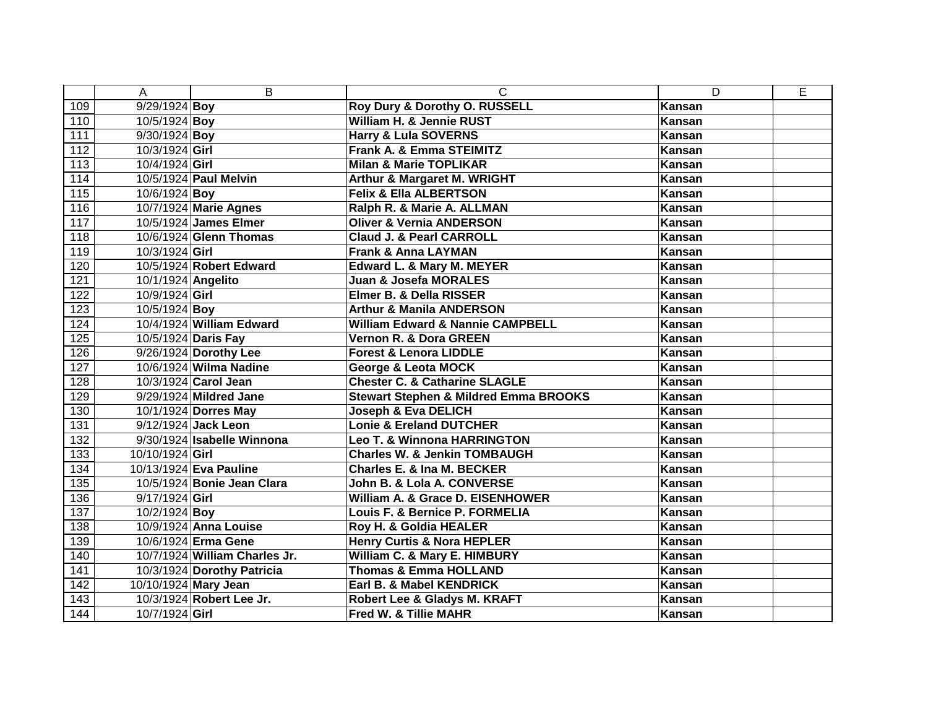|     | A                  | B                             | C                                                | D             | E |
|-----|--------------------|-------------------------------|--------------------------------------------------|---------------|---|
| 109 | 9/29/1924 Boy      |                               | Roy Dury & Dorothy O. RUSSELL                    | Kansan        |   |
| 110 | 10/5/1924 Boy      |                               | William H. & Jennie RUST                         | Kansan        |   |
| 111 | $9/30/1924$ Boy    |                               | <b>Harry &amp; Lula SOVERNS</b>                  | Kansan        |   |
| 112 | 10/3/1924 Girl     |                               | Frank A. & Emma STEIMITZ                         | Kansan        |   |
| 113 | 10/4/1924 Girl     |                               | <b>Milan &amp; Marie TOPLIKAR</b>                | Kansan        |   |
| 114 |                    | 10/5/1924 Paul Melvin         | <b>Arthur &amp; Margaret M. WRIGHT</b>           | Kansan        |   |
| 115 | 10/6/1924 Boy      |                               | <b>Felix &amp; Ella ALBERTSON</b>                | Kansan        |   |
| 116 |                    | 10/7/1924 Marie Agnes         | Ralph R. & Marie A. ALLMAN                       | Kansan        |   |
| 117 |                    | 10/5/1924 James Elmer         | <b>Oliver &amp; Vernia ANDERSON</b>              | Kansan        |   |
| 118 |                    | 10/6/1924 Glenn Thomas        | <b>Claud J. &amp; Pearl CARROLL</b>              | Kansan        |   |
| 119 | 10/3/1924 Girl     |                               | <b>Frank &amp; Anna LAYMAN</b>                   | Kansan        |   |
| 120 |                    | 10/5/1924 Robert Edward       | Edward L. & Mary M. MEYER                        | Kansan        |   |
| 121 | 10/1/1924 Angelito |                               | <b>Juan &amp; Josefa MORALES</b>                 | Kansan        |   |
| 122 | 10/9/1924 Girl     |                               | Elmer B. & Della RISSER                          | Kansan        |   |
| 123 | 10/5/1924 Boy      |                               | <b>Arthur &amp; Manila ANDERSON</b>              | Kansan        |   |
| 124 |                    | 10/4/1924 William Edward      | <b>William Edward &amp; Nannie CAMPBELL</b>      | <b>Kansan</b> |   |
| 125 |                    | 10/5/1924 Daris Fay           | Vernon R. & Dora GREEN                           | Kansan        |   |
| 126 |                    | 9/26/1924 Dorothy Lee         | <b>Forest &amp; Lenora LIDDLE</b>                | <b>Kansan</b> |   |
| 127 |                    | 10/6/1924 Wilma Nadine        | <b>George &amp; Leota MOCK</b>                   | Kansan        |   |
| 128 |                    | 10/3/1924 Carol Jean          | <b>Chester C. &amp; Catharine SLAGLE</b>         | <b>Kansan</b> |   |
| 129 |                    | 9/29/1924 Mildred Jane        | <b>Stewart Stephen &amp; Mildred Emma BROOKS</b> | Kansan        |   |
| 130 |                    | 10/1/1924 Dorres May          | <b>Joseph &amp; Eva DELICH</b>                   | <b>Kansan</b> |   |
| 131 |                    | 9/12/1924 Jack Leon           | <b>Lonie &amp; Ereland DUTCHER</b>               | Kansan        |   |
| 132 |                    | 9/30/1924 Isabelle Winnona    | Leo T. & Winnona HARRINGTON                      | Kansan        |   |
| 133 | 10/10/1924 Girl    |                               | <b>Charles W. &amp; Jenkin TOMBAUGH</b>          | Kansan        |   |
| 134 |                    | 10/13/1924 Eva Pauline        | Charles E. & Ina M. BECKER                       | <b>Kansan</b> |   |
| 135 |                    | 10/5/1924 Bonie Jean Clara    | John B. & Lola A. CONVERSE                       | Kansan        |   |
| 136 | $9/17/1924$ Girl   |                               | William A. & Grace D. EISENHOWER                 | Kansan        |   |
| 137 | 10/2/1924 Boy      |                               | Louis F. & Bernice P. FORMELIA                   | <b>Kansan</b> |   |
| 138 |                    | 10/9/1924 Anna Louise         | Roy H. & Goldia HEALER                           | Kansan        |   |
| 139 |                    | 10/6/1924 Erma Gene           | <b>Henry Curtis &amp; Nora HEPLER</b>            | Kansan        |   |
| 140 |                    | 10/7/1924 William Charles Jr. | William C. & Mary E. HIMBURY                     | Kansan        |   |
| 141 |                    | 10/3/1924 Dorothy Patricia    | <b>Thomas &amp; Emma HOLLAND</b>                 | Kansan        |   |
| 142 |                    | 10/10/1924 Mary Jean          | Earl B. & Mabel KENDRICK                         | Kansan        |   |
| 143 |                    | 10/3/1924 Robert Lee Jr.      | Robert Lee & Gladys M. KRAFT                     | Kansan        |   |
| 144 | 10/7/1924 Girl     |                               | Fred W. & Tillie MAHR                            | Kansan        |   |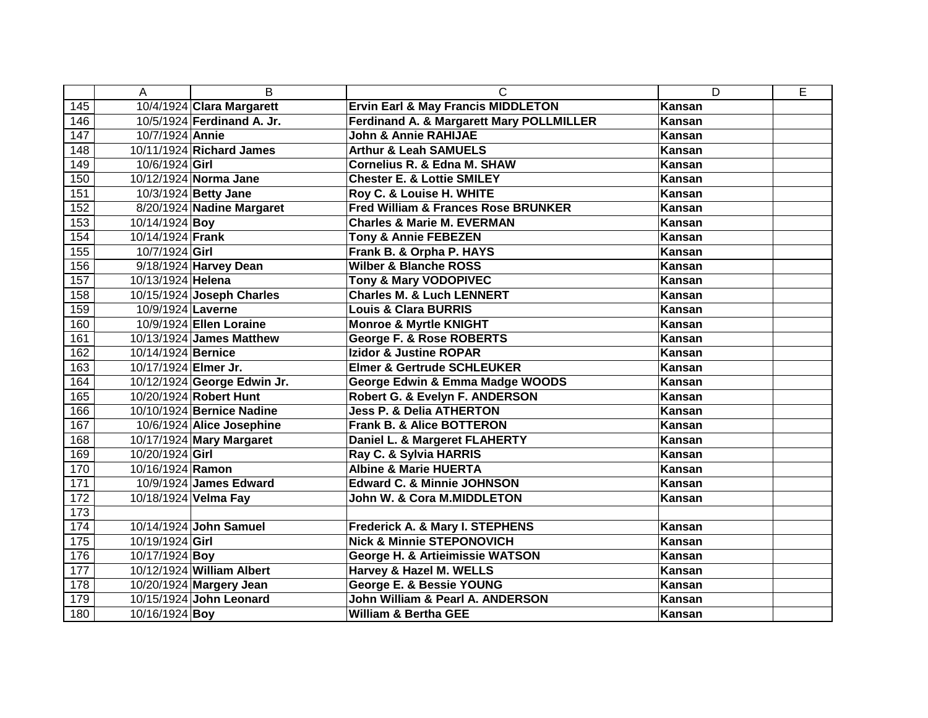|     | Α                    | B                           | C                                                   | D             | E |
|-----|----------------------|-----------------------------|-----------------------------------------------------|---------------|---|
| 145 |                      | 10/4/1924 Clara Margarett   | <b>Ervin Earl &amp; May Francis MIDDLETON</b>       | <b>Kansan</b> |   |
| 146 |                      | 10/5/1924 Ferdinand A. Jr.  | <b>Ferdinand A. &amp; Margarett Mary POLLMILLER</b> | Kansan        |   |
| 147 | 10/7/1924 Annie      |                             | <b>John &amp; Annie RAHIJAE</b>                     | <b>Kansan</b> |   |
| 148 |                      | 10/11/1924 Richard James    | <b>Arthur &amp; Leah SAMUELS</b>                    | <b>Kansan</b> |   |
| 149 | 10/6/1924 Girl       |                             | Cornelius R. & Edna M. SHAW                         | Kansan        |   |
| 150 |                      | 10/12/1924 Norma Jane       | <b>Chester E. &amp; Lottie SMILEY</b>               | Kansan        |   |
| 151 |                      | 10/3/1924 Betty Jane        | Roy C. & Louise H. WHITE                            | Kansan        |   |
| 152 |                      | 8/20/1924 Nadine Margaret   | <b>Fred William &amp; Frances Rose BRUNKER</b>      | Kansan        |   |
| 153 | 10/14/1924 Boy       |                             | <b>Charles &amp; Marie M. EVERMAN</b>               | Kansan        |   |
| 154 | 10/14/1924 Frank     |                             | <b>Tony &amp; Annie FEBEZEN</b>                     | <b>Kansan</b> |   |
| 155 | 10/7/1924 Girl       |                             | Frank B. & Orpha P. HAYS                            | <b>Kansan</b> |   |
| 156 |                      | 9/18/1924 Harvey Dean       | <b>Wilber &amp; Blanche ROSS</b>                    | <b>Kansan</b> |   |
| 157 | 10/13/1924 Helena    |                             | <b>Tony &amp; Mary VODOPIVEC</b>                    | Kansan        |   |
| 158 |                      | 10/15/1924 Joseph Charles   | <b>Charles M. &amp; Luch LENNERT</b>                | <b>Kansan</b> |   |
| 159 | 10/9/1924 Laverne    |                             | <b>Louis &amp; Clara BURRIS</b>                     | Kansan        |   |
| 160 |                      | 10/9/1924 Ellen Loraine     | <b>Monroe &amp; Myrtle KNIGHT</b>                   | <b>Kansan</b> |   |
| 161 |                      | 10/13/1924 James Matthew    | George F. & Rose ROBERTS                            | <b>Kansan</b> |   |
| 162 | 10/14/1924 Bernice   |                             | <b>Izidor &amp; Justine ROPAR</b>                   | <b>Kansan</b> |   |
| 163 | 10/17/1924 Elmer Jr. |                             | <b>Elmer &amp; Gertrude SCHLEUKER</b>               | Kansan        |   |
| 164 |                      | 10/12/1924 George Edwin Jr. | George Edwin & Emma Madge WOODS                     | <b>Kansan</b> |   |
| 165 |                      | 10/20/1924 Robert Hunt      | Robert G. & Evelyn F. ANDERSON                      | <b>Kansan</b> |   |
| 166 |                      | 10/10/1924 Bernice Nadine   | <b>Jess P. &amp; Delia ATHERTON</b>                 | <b>Kansan</b> |   |
| 167 |                      | 10/6/1924 Alice Josephine   | <b>Frank B. &amp; Alice BOTTERON</b>                | Kansan        |   |
| 168 |                      | 10/17/1924 Mary Margaret    | Daniel L. & Margeret FLAHERTY                       | Kansan        |   |
| 169 | 10/20/1924 Girl      |                             | Ray C. & Sylvia HARRIS                              | <b>Kansan</b> |   |
| 170 | 10/16/1924 Ramon     |                             | <b>Albine &amp; Marie HUERTA</b>                    | Kansan        |   |
| 171 |                      | 10/9/1924 James Edward      | <b>Edward C. &amp; Minnie JOHNSON</b>               | Kansan        |   |
| 172 |                      | 10/18/1924 Velma Fay        | John W. & Cora M.MIDDLETON                          | Kansan        |   |
| 173 |                      |                             |                                                     |               |   |
| 174 |                      | 10/14/1924 John Samuel      | <b>Frederick A. &amp; Mary I. STEPHENS</b>          | <b>Kansan</b> |   |
| 175 | 10/19/1924 Girl      |                             | <b>Nick &amp; Minnie STEPONOVICH</b>                | Kansan        |   |
| 176 | 10/17/1924 Boy       |                             | <b>George H. &amp; Artieimissie WATSON</b>          | <b>Kansan</b> |   |
| 177 |                      | 10/12/1924 William Albert   | Harvey & Hazel M. WELLS                             | Kansan        |   |
| 178 |                      | 10/20/1924 Margery Jean     | George E. & Bessie YOUNG                            | Kansan        |   |
| 179 |                      | 10/15/1924 John Leonard     | John William & Pearl A. ANDERSON                    | Kansan        |   |
| 180 | 10/16/1924 Boy       |                             | <b>William &amp; Bertha GEE</b>                     | Kansan        |   |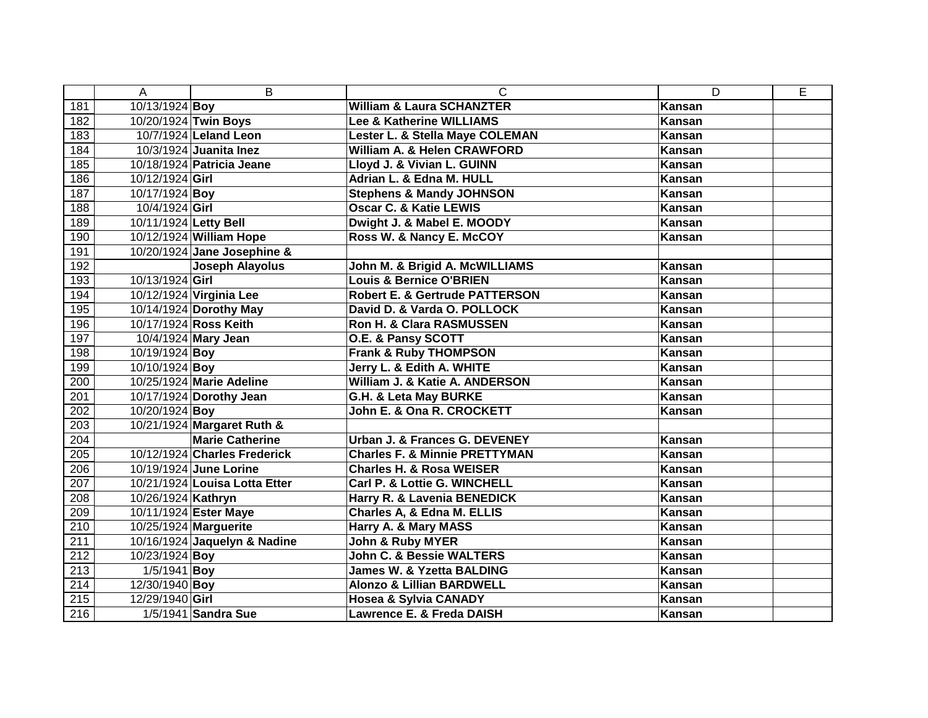|     | Α                     | B                             | C                                         | D             | E |
|-----|-----------------------|-------------------------------|-------------------------------------------|---------------|---|
| 181 | 10/13/1924 Boy        |                               | <b>William &amp; Laura SCHANZTER</b>      | Kansan        |   |
| 182 |                       | 10/20/1924 Twin Boys          | Lee & Katherine WILLIAMS                  | Kansan        |   |
| 183 |                       | 10/7/1924 Leland Leon         | Lester L. & Stella Maye COLEMAN           | Kansan        |   |
| 184 |                       | 10/3/1924 Juanita Inez        | William A. & Helen CRAWFORD               | Kansan        |   |
| 185 |                       | 10/18/1924 Patricia Jeane     | Lloyd J. & Vivian L. GUINN                | Kansan        |   |
| 186 | 10/12/1924 Girl       |                               | Adrian L. & Edna M. HULL                  | Kansan        |   |
| 187 | 10/17/1924 Boy        |                               | <b>Stephens &amp; Mandy JOHNSON</b>       | Kansan        |   |
| 188 | 10/4/1924 Girl        |                               | <b>Oscar C. &amp; Katie LEWIS</b>         | Kansan        |   |
| 189 | 10/11/1924 Letty Bell |                               | Dwight J. & Mabel E. MOODY                | Kansan        |   |
| 190 |                       | 10/12/1924 William Hope       | Ross W. & Nancy E. McCOY                  | Kansan        |   |
| 191 |                       | 10/20/1924 Jane Josephine &   |                                           |               |   |
| 192 |                       | <b>Joseph Alayolus</b>        | John M. & Brigid A. McWILLIAMS            | Kansan        |   |
| 193 | 10/13/1924 Girl       |                               | <b>Louis &amp; Bernice O'BRIEN</b>        | <b>Kansan</b> |   |
| 194 |                       | 10/12/1924 Virginia Lee       | <b>Robert E. &amp; Gertrude PATTERSON</b> | <b>Kansan</b> |   |
| 195 |                       | 10/14/1924 Dorothy May        | David D. & Varda O. POLLOCK               | <b>Kansan</b> |   |
| 196 |                       | 10/17/1924 Ross Keith         | <b>Ron H. &amp; Clara RASMUSSEN</b>       | Kansan        |   |
| 197 |                       | 10/4/1924 Mary Jean           | O.E. & Pansy SCOTT                        | <b>Kansan</b> |   |
| 198 | 10/19/1924 Boy        |                               | <b>Frank &amp; Ruby THOMPSON</b>          | Kansan        |   |
| 199 | 10/10/1924 Boy        |                               | Jerry L. & Edith A. WHITE                 | Kansan        |   |
| 200 |                       | 10/25/1924 Marie Adeline      | William J. & Katie A. ANDERSON            | Kansan        |   |
| 201 |                       | 10/17/1924 Dorothy Jean       | G.H. & Leta May BURKE                     | Kansan        |   |
| 202 | 10/20/1924 Boy        |                               | John E. & Ona R. CROCKETT                 | Kansan        |   |
| 203 |                       | 10/21/1924 Margaret Ruth &    |                                           |               |   |
| 204 |                       | <b>Marie Catherine</b>        | Urban J. & Frances G. DEVENEY             | Kansan        |   |
| 205 |                       | 10/12/1924 Charles Frederick  | <b>Charles F. &amp; Minnie PRETTYMAN</b>  | Kansan        |   |
| 206 |                       | 10/19/1924 June Lorine        | <b>Charles H. &amp; Rosa WEISER</b>       | Kansan        |   |
| 207 |                       | 10/21/1924 Louisa Lotta Etter | <b>Carl P. &amp; Lottie G. WINCHELL</b>   | Kansan        |   |
| 208 | 10/26/1924 Kathryn    |                               | Harry R. & Lavenia BENEDICK               | Kansan        |   |
| 209 |                       | 10/11/1924 Ester Maye         | Charles A, & Edna M. ELLIS                | Kansan        |   |
| 210 |                       | 10/25/1924 Marguerite         | Harry A. & Mary MASS                      | Kansan        |   |
| 211 |                       | 10/16/1924 Jaquelyn & Nadine  | <b>John &amp; Ruby MYER</b>               | Kansan        |   |
| 212 | 10/23/1924 Boy        |                               | <b>John C. &amp; Bessie WALTERS</b>       | Kansan        |   |
| 213 | 1/5/1941 Boy          |                               | <b>James W. &amp; Yzetta BALDING</b>      | Kansan        |   |
| 214 | 12/30/1940 Boy        |                               | <b>Alonzo &amp; Lillian BARDWELL</b>      | Kansan        |   |
| 215 | 12/29/1940 Girl       |                               | <b>Hosea &amp; Sylvia CANADY</b>          | Kansan        |   |
| 216 |                       | 1/5/1941 Sandra Sue           | Lawrence E. & Freda DAISH                 | Kansan        |   |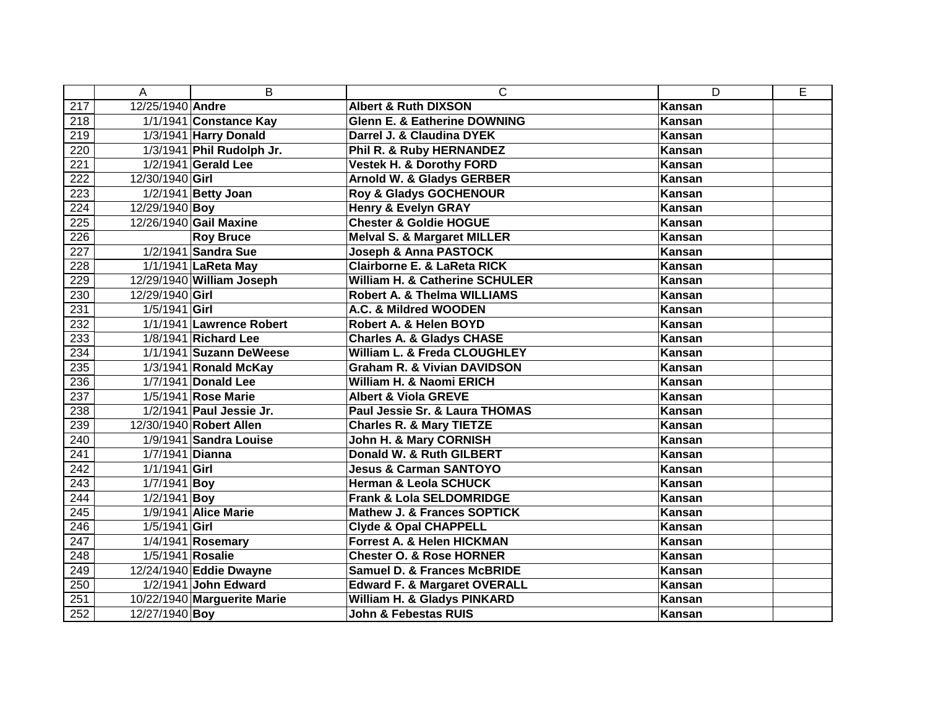|                  | A                | B                           | $\mathsf{C}$                              | D             | E |
|------------------|------------------|-----------------------------|-------------------------------------------|---------------|---|
| 217              | 12/25/1940 Andre |                             | <b>Albert &amp; Ruth DIXSON</b>           | <b>Kansan</b> |   |
| 218              |                  | 1/1/1941 Constance Kay      | <b>Glenn E. &amp; Eatherine DOWNING</b>   | Kansan        |   |
| 219              |                  | 1/3/1941 Harry Donald       | Darrel J. & Claudina DYEK                 | Kansan        |   |
| 220              |                  | 1/3/1941 Phil Rudolph Jr.   | Phil R. & Ruby HERNANDEZ                  | Kansan        |   |
| 221              |                  | 1/2/1941 Gerald Lee         | <b>Vestek H. &amp; Dorothy FORD</b>       | Kansan        |   |
| 222              | 12/30/1940 Girl  |                             | <b>Arnold W. &amp; Gladys GERBER</b>      | Kansan        |   |
| 223              |                  | 1/2/1941 Betty Joan         | Roy & Gladys GOCHENOUR                    | Kansan        |   |
| 224              | 12/29/1940 Boy   |                             | <b>Henry &amp; Evelyn GRAY</b>            | Kansan        |   |
| 225              |                  | 12/26/1940 Gail Maxine      | <b>Chester &amp; Goldie HOGUE</b>         | <b>Kansan</b> |   |
| 226              |                  | <b>Roy Bruce</b>            | <b>Melval S. &amp; Margaret MILLER</b>    | Kansan        |   |
| $\overline{227}$ |                  | 1/2/1941 Sandra Sue         | Joseph & Anna PASTOCK                     | <b>Kansan</b> |   |
| 228              |                  | 1/1/1941 LaReta May         | <b>Clairborne E. &amp; LaReta RICK</b>    | Kansan        |   |
| 229              |                  | 12/29/1940 William Joseph   | <b>William H. &amp; Catherine SCHULER</b> | Kansan        |   |
| 230              | 12/29/1940 Girl  |                             | <b>Robert A. &amp; Thelma WILLIAMS</b>    | Kansan        |   |
| 231              | $1/5/1941$ Girl  |                             | A.C. & Mildred WOODEN                     | Kansan        |   |
| 232              |                  | 1/1/1941 Lawrence Robert    | Robert A. & Helen BOYD                    | <b>Kansan</b> |   |
| 233              |                  | 1/8/1941 Richard Lee        | <b>Charles A. &amp; Gladys CHASE</b>      | Kansan        |   |
| 234              |                  | 1/1/1941 Suzann DeWeese     | William L. & Freda CLOUGHLEY              | Kansan        |   |
| 235              |                  | 1/3/1941 Ronald McKay       | <b>Graham R. &amp; Vivian DAVIDSON</b>    | Kansan        |   |
| 236              |                  | 1/7/1941 Donald Lee         | William H. & Naomi ERICH                  | Kansan        |   |
| $\overline{237}$ |                  | 1/5/1941 Rose Marie         | <b>Albert &amp; Viola GREVE</b>           | Kansan        |   |
| 238              |                  | 1/2/1941 Paul Jessie Jr.    | Paul Jessie Sr. & Laura THOMAS            | Kansan        |   |
| 239              |                  | 12/30/1940 Robert Allen     | <b>Charles R. &amp; Mary TIETZE</b>       | Kansan        |   |
| 240              |                  | 1/9/1941 Sandra Louise      | John H. & Mary CORNISH                    | Kansan        |   |
| 241              | 1/7/1941 Dianna  |                             | Donald W. & Ruth GILBERT                  | Kansan        |   |
| 242              | $1/1/1941$ Girl  |                             | <b>Jesus &amp; Carman SANTOYO</b>         | <b>Kansan</b> |   |
| 243              | $1/7/1941$ Boy   |                             | <b>Herman &amp; Leola SCHUCK</b>          | Kansan        |   |
| 244              | $1/2/1941$ Boy   |                             | <b>Frank &amp; Lola SELDOMRIDGE</b>       | Kansan        |   |
| 245              |                  | 1/9/1941 Alice Marie        | <b>Mathew J. &amp; Frances SOPTICK</b>    | <b>Kansan</b> |   |
| 246              | $1/5/1941$ Girl  |                             | <b>Clyde &amp; Opal CHAPPELL</b>          | Kansan        |   |
| $\overline{247}$ |                  | 1/4/1941 Rosemary           | <b>Forrest A. &amp; Helen HICKMAN</b>     | <b>Kansan</b> |   |
| 248              | 1/5/1941 Rosalie |                             | <b>Chester O. &amp; Rose HORNER</b>       | Kansan        |   |
| 249              |                  | 12/24/1940 Eddie Dwayne     | <b>Samuel D. &amp; Frances McBRIDE</b>    | Kansan        |   |
| 250              |                  | 1/2/1941 John Edward        | <b>Edward F. &amp; Margaret OVERALL</b>   | Kansan        |   |
| 251              |                  | 10/22/1940 Marguerite Marie | William H. & Gladys PINKARD               | Kansan        |   |
| 252              | 12/27/1940 Boy   |                             | John & Febestas RUIS                      | Kansan        |   |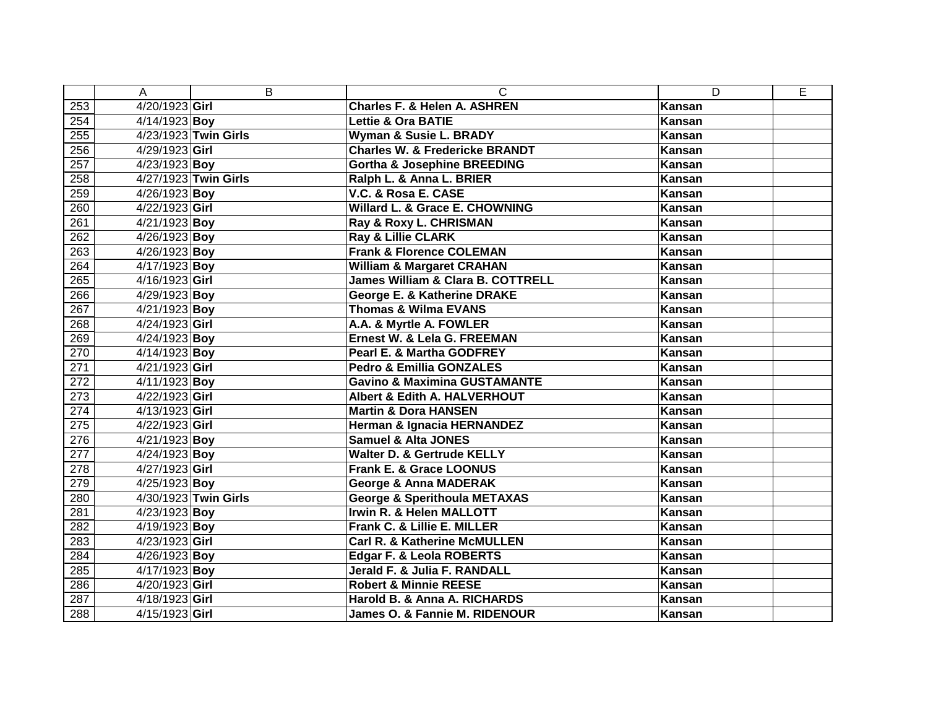|                  | A              | B                    | C                                            | D      | E |
|------------------|----------------|----------------------|----------------------------------------------|--------|---|
| 253              | 4/20/1923 Girl |                      | <b>Charles F. &amp; Helen A. ASHREN</b>      | Kansan |   |
| 254              | 4/14/1923 Boy  |                      | <b>Lettie &amp; Ora BATIE</b>                | Kansan |   |
| 255              |                | 4/23/1923 Twin Girls | Wyman & Susie L. BRADY                       | Kansan |   |
| 256              | 4/29/1923 Girl |                      | <b>Charles W. &amp; Fredericke BRANDT</b>    | Kansan |   |
| 257              | 4/23/1923 Boy  |                      | <b>Gortha &amp; Josephine BREEDING</b>       | Kansan |   |
| 258              |                | 4/27/1923 Twin Girls | Ralph L. & Anna L. BRIER                     | Kansan |   |
| 259              | 4/26/1923 Boy  |                      | V.C. & Rosa E. CASE                          | Kansan |   |
| 260              | 4/22/1923 Girl |                      | Willard L. & Grace E. CHOWNING               | Kansan |   |
| 261              | 4/21/1923 Boy  |                      | Ray & Roxy L. CHRISMAN                       | Kansan |   |
| 262              | 4/26/1923 Boy  |                      | Ray & Lillie CLARK                           | Kansan |   |
| 263              | 4/26/1923 Boy  |                      | <b>Frank &amp; Florence COLEMAN</b>          | Kansan |   |
| 264              | 4/17/1923 Boy  |                      | <b>William &amp; Margaret CRAHAN</b>         | Kansan |   |
| 265              | 4/16/1923 Girl |                      | <b>James William &amp; Clara B. COTTRELL</b> | Kansan |   |
| 266              | 4/29/1923 Boy  |                      | George E. & Katherine DRAKE                  | Kansan |   |
| $\overline{267}$ | 4/21/1923 Boy  |                      | <b>Thomas &amp; Wilma EVANS</b>              | Kansan |   |
| 268              | 4/24/1923 Girl |                      | A.A. & Myrtle A. FOWLER                      | Kansan |   |
| 269              | 4/24/1923 Boy  |                      | Ernest W. & Lela G. FREEMAN                  | Kansan |   |
| 270              | 4/14/1923 Boy  |                      | Pearl E. & Martha GODFREY                    | Kansan |   |
| 271              | 4/21/1923 Girl |                      | <b>Pedro &amp; Emillia GONZALES</b>          | Kansan |   |
| 272              | 4/11/1923 Boy  |                      | <b>Gavino &amp; Maximina GUSTAMANTE</b>      | Kansan |   |
| $\overline{273}$ | 4/22/1923 Girl |                      | Albert & Edith A. HALVERHOUT                 | Kansan |   |
| 274              | 4/13/1923 Girl |                      | <b>Martin &amp; Dora HANSEN</b>              | Kansan |   |
| 275              | 4/22/1923 Girl |                      | Herman & Ignacia HERNANDEZ                   | Kansan |   |
| 276              | 4/21/1923 Boy  |                      | <b>Samuel &amp; Alta JONES</b>               | Kansan |   |
| 277              | 4/24/1923 Boy  |                      | <b>Walter D. &amp; Gertrude KELLY</b>        | Kansan |   |
| 278              | 4/27/1923 Girl |                      | Frank E. & Grace LOONUS                      | Kansan |   |
| 279              | 4/25/1923 Boy  |                      | <b>George &amp; Anna MADERAK</b>             | Kansan |   |
| 280              |                | 4/30/1923 Twin Girls | <b>George &amp; Sperithoula METAXAS</b>      | Kansan |   |
| 281              | 4/23/1923 Boy  |                      | Irwin R. & Helen MALLOTT                     | Kansan |   |
| 282              | 4/19/1923 Boy  |                      | Frank C. & Lillie E. MILLER                  | Kansan |   |
| 283              | 4/23/1923 Girl |                      | <b>Carl R. &amp; Katherine McMULLEN</b>      | Kansan |   |
| 284              | 4/26/1923 Boy  |                      | Edgar F. & Leola ROBERTS                     | Kansan |   |
| 285              | 4/17/1923 Boy  |                      | Jerald F. & Julia F. RANDALL                 | Kansan |   |
| 286              | 4/20/1923 Girl |                      | <b>Robert &amp; Minnie REESE</b>             | Kansan |   |
| 287              | 4/18/1923 Girl |                      | Harold B. & Anna A. RICHARDS                 | Kansan |   |
| 288              | 4/15/1923 Girl |                      | James O. & Fannie M. RIDENOUR                | Kansan |   |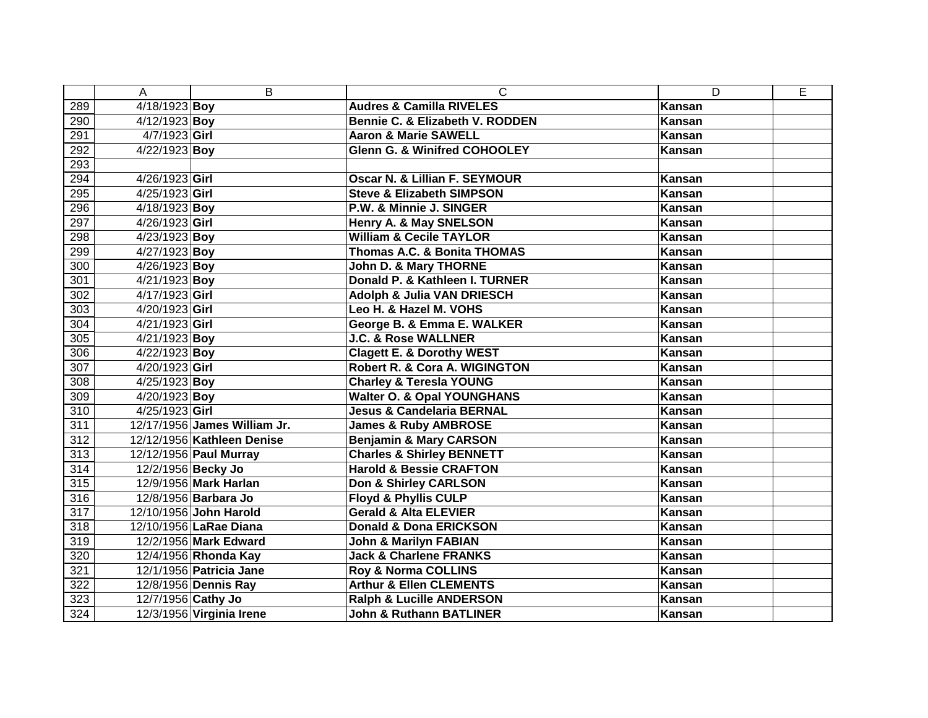|                  | A                  | B                            | $\mathsf{C}$                             | D      | E |
|------------------|--------------------|------------------------------|------------------------------------------|--------|---|
| 289              | 4/18/1923 Boy      |                              | <b>Audres &amp; Camilla RIVELES</b>      | Kansan |   |
| 290              | 4/12/1923 Boy      |                              | Bennie C. & Elizabeth V. RODDEN          | Kansan |   |
| 291              | $4/7/1923$ Girl    |                              | <b>Aaron &amp; Marie SAWELL</b>          | Kansan |   |
| 292              | 4/22/1923 Boy      |                              | <b>Glenn G. &amp; Winifred COHOOLEY</b>  | Kansan |   |
| 293              |                    |                              |                                          |        |   |
| 294              | 4/26/1923 Girl     |                              | Oscar N. & Lillian F. SEYMOUR            | Kansan |   |
| 295              | 4/25/1923 Girl     |                              | <b>Steve &amp; Elizabeth SIMPSON</b>     | Kansan |   |
| 296              | 4/18/1923 Boy      |                              | P.W. & Minnie J. SINGER                  | Kansan |   |
| 297              | 4/26/1923 Girl     |                              | Henry A. & May SNELSON                   | Kansan |   |
| 298              | 4/23/1923 Boy      |                              | <b>William &amp; Cecile TAYLOR</b>       | Kansan |   |
| 299              | $4/27/1923$ Boy    |                              | <b>Thomas A.C. &amp; Bonita THOMAS</b>   | Kansan |   |
| 300              | 4/26/1923 Boy      |                              | <b>John D. &amp; Mary THORNE</b>         | Kansan |   |
| 301              | 4/21/1923 Boy      |                              | Donald P. & Kathleen I. TURNER           | Kansan |   |
| 302              | 4/17/1923 Girl     |                              | <b>Adolph &amp; Julia VAN DRIESCH</b>    | Kansan |   |
| 303              | 4/20/1923 Girl     |                              | Leo H. & Hazel M. VOHS                   | Kansan |   |
| 304              | 4/21/1923 Girl     |                              | George B. & Emma E. WALKER               | Kansan |   |
| 305              | $4/21/1923$ Boy    |                              | <b>J.C. &amp; Rose WALLNER</b>           | Kansan |   |
| 306              | 4/22/1923 Boy      |                              | <b>Clagett E. &amp; Dorothy WEST</b>     | Kansan |   |
| 307              | 4/20/1923 Girl     |                              | <b>Robert R. &amp; Cora A. WIGINGTON</b> | Kansan |   |
| 308              | $4/25/1923$ Boy    |                              | <b>Charley &amp; Teresla YOUNG</b>       | Kansan |   |
| 309              | $4/20/1923$ Boy    |                              | <b>Walter O. &amp; Opal YOUNGHANS</b>    | Kansan |   |
| 310              | 4/25/1923 Girl     |                              | <b>Jesus &amp; Candelaria BERNAL</b>     | Kansan |   |
| 311              |                    | 12/17/1956 James William Jr. | <b>James &amp; Ruby AMBROSE</b>          | Kansan |   |
| 312              |                    | 12/12/1956 Kathleen Denise   | <b>Benjamin &amp; Mary CARSON</b>        | Kansan |   |
| 313              |                    | 12/12/1956 Paul Murray       | <b>Charles &amp; Shirley BENNETT</b>     | Kansan |   |
| $\overline{314}$ |                    | 12/2/1956 Becky Jo           | <b>Harold &amp; Bessie CRAFTON</b>       | Kansan |   |
| 315              |                    | 12/9/1956 Mark Harlan        | Don & Shirley CARLSON                    | Kansan |   |
| 316              |                    | 12/8/1956 Barbara Jo         | <b>Floyd &amp; Phyllis CULP</b>          | Kansan |   |
| 317              |                    | 12/10/1956 John Harold       | <b>Gerald &amp; Alta ELEVIER</b>         | Kansan |   |
| 318              |                    | 12/10/1956 LaRae Diana       | <b>Donald &amp; Dona ERICKSON</b>        | Kansan |   |
| 319              |                    | 12/2/1956 Mark Edward        | <b>John &amp; Marilyn FABIAN</b>         | Kansan |   |
| 320              |                    | 12/4/1956 Rhonda Kay         | <b>Jack &amp; Charlene FRANKS</b>        | Kansan |   |
| 321              |                    | 12/1/1956 Patricia Jane      | Roy & Norma COLLINS                      | Kansan |   |
| 322              |                    | 12/8/1956 Dennis Ray         | <b>Arthur &amp; Ellen CLEMENTS</b>       | Kansan |   |
| 323              | 12/7/1956 Cathy Jo |                              | <b>Ralph &amp; Lucille ANDERSON</b>      | Kansan |   |
| 324              |                    | 12/3/1956 Virginia Irene     | <b>John &amp; Ruthann BATLINER</b>       | Kansan |   |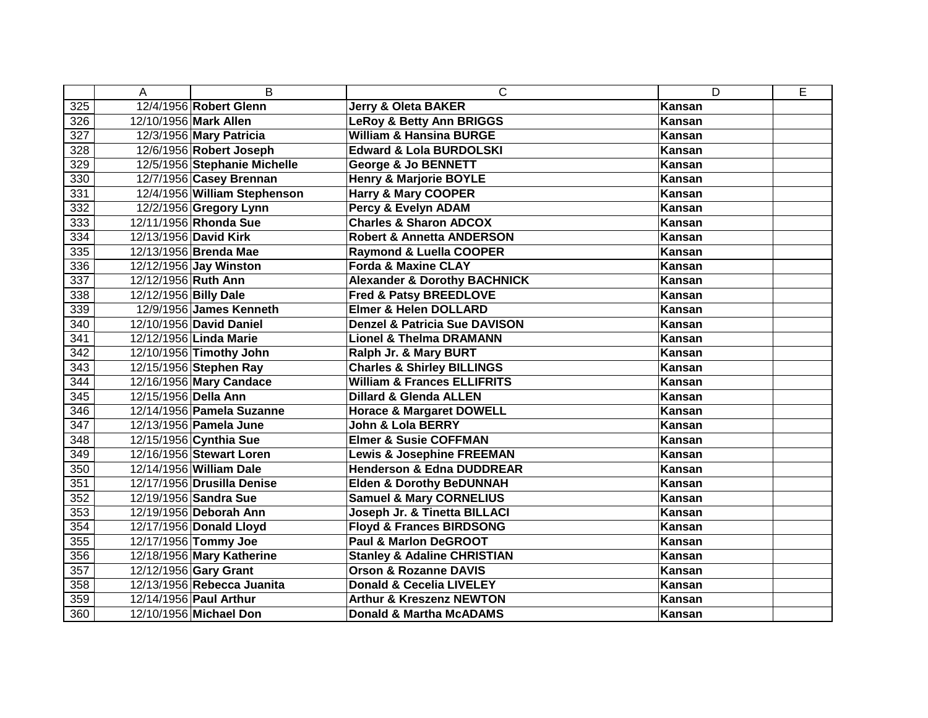|                  | A                     | B                            | C                                        | D             | E |
|------------------|-----------------------|------------------------------|------------------------------------------|---------------|---|
| 325              |                       | 12/4/1956 Robert Glenn       | <b>Jerry &amp; Oleta BAKER</b>           | <b>Kansan</b> |   |
| 326              |                       | 12/10/1956 Mark Allen        | <b>LeRoy &amp; Betty Ann BRIGGS</b>      | <b>Kansan</b> |   |
| 327              |                       | 12/3/1956 Mary Patricia      | <b>William &amp; Hansina BURGE</b>       | Kansan        |   |
| 328              |                       | 12/6/1956 Robert Joseph      | <b>Edward &amp; Lola BURDOLSKI</b>       | Kansan        |   |
| 329              |                       | 12/5/1956 Stephanie Michelle | <b>George &amp; Jo BENNETT</b>           | Kansan        |   |
| 330              |                       | 12/7/1956 Casey Brennan      | <b>Henry &amp; Marjorie BOYLE</b>        | Kansan        |   |
| 331              |                       | 12/4/1956 William Stephenson | <b>Harry &amp; Mary COOPER</b>           | Kansan        |   |
| 332              |                       | 12/2/1956 Gregory Lynn       | Percy & Evelyn ADAM                      | Kansan        |   |
| 333              |                       | 12/11/1956 Rhonda Sue        | <b>Charles &amp; Sharon ADCOX</b>        | Kansan        |   |
| 334              |                       | 12/13/1956 David Kirk        | <b>Robert &amp; Annetta ANDERSON</b>     | Kansan        |   |
| 335              |                       | 12/13/1956 Brenda Mae        | <b>Raymond &amp; Luella COOPER</b>       | Kansan        |   |
| 336              |                       | 12/12/1956 Jay Winston       | <b>Forda &amp; Maxine CLAY</b>           | Kansan        |   |
| 337              | 12/12/1956 Ruth Ann   |                              | <b>Alexander &amp; Dorothy BACHNICK</b>  | Kansan        |   |
| 338              | 12/12/1956 Billy Dale |                              | Fred & Patsy BREEDLOVE                   | Kansan        |   |
| 339              |                       | 12/9/1956 James Kenneth      | Elmer & Helen DOLLARD                    | Kansan        |   |
| 340              |                       | 12/10/1956 David Daniel      | <b>Denzel &amp; Patricia Sue DAVISON</b> | <b>Kansan</b> |   |
| 341              |                       | 12/12/1956 Linda Marie       | <b>Lionel &amp; Thelma DRAMANN</b>       | Kansan        |   |
| $\overline{342}$ |                       | 12/10/1956 Timothy John      | Ralph Jr. & Mary BURT                    | Kansan        |   |
| 343              |                       | 12/15/1956 Stephen Ray       | <b>Charles &amp; Shirley BILLINGS</b>    | Kansan        |   |
| 344              |                       | 12/16/1956 Mary Candace      | <b>William &amp; Frances ELLIFRITS</b>   | Kansan        |   |
| 345              | 12/15/1956 Della Ann  |                              | <b>Dillard &amp; Glenda ALLEN</b>        | Kansan        |   |
| 346              |                       | 12/14/1956 Pamela Suzanne    | <b>Horace &amp; Margaret DOWELL</b>      | Kansan        |   |
| 347              |                       | 12/13/1956 Pamela June       | John & Lola BERRY                        | Kansan        |   |
| 348              |                       | 12/15/1956 Cynthia Sue       | <b>Elmer &amp; Susie COFFMAN</b>         | Kansan        |   |
| 349              |                       | 12/16/1956 Stewart Loren     | <b>Lewis &amp; Josephine FREEMAN</b>     | Kansan        |   |
| 350              |                       | 12/14/1956 William Dale      | <b>Henderson &amp; Edna DUDDREAR</b>     | Kansan        |   |
| 351              |                       | 12/17/1956 Drusilla Denise   | <b>Elden &amp; Dorothy BeDUNNAH</b>      | Kansan        |   |
| 352              |                       | 12/19/1956 Sandra Sue        | <b>Samuel &amp; Mary CORNELIUS</b>       | Kansan        |   |
| 353              |                       | 12/19/1956 Deborah Ann       | Joseph Jr. & Tinetta BILLACI             | <b>Kansan</b> |   |
| 354              |                       | 12/17/1956 Donald Lloyd      | <b>Floyd &amp; Frances BIRDSONG</b>      | Kansan        |   |
| 355              |                       | 12/17/1956 Tommy Joe         | <b>Paul &amp; Marlon DeGROOT</b>         | Kansan        |   |
| 356              |                       | 12/18/1956 Mary Katherine    | <b>Stanley &amp; Adaline CHRISTIAN</b>   | Kansan        |   |
| 357              |                       | 12/12/1956 Gary Grant        | <b>Orson &amp; Rozanne DAVIS</b>         | <b>Kansan</b> |   |
| 358              |                       | 12/13/1956 Rebecca Juanita   | <b>Donald &amp; Cecelia LIVELEY</b>      | Kansan        |   |
| 359              |                       | 12/14/1956 Paul Arthur       | <b>Arthur &amp; Kreszenz NEWTON</b>      | Kansan        |   |
| 360              |                       | 12/10/1956 Michael Don       | <b>Donald &amp; Martha McADAMS</b>       | Kansan        |   |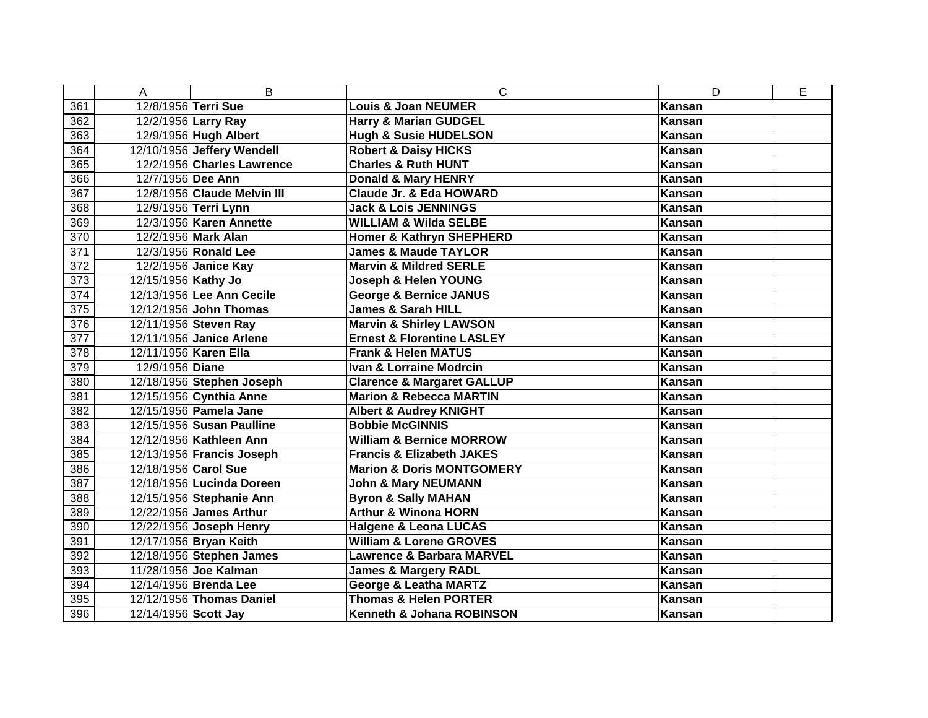|                  | A                     | B                           | $\mathsf{C}$                          | D             | E |
|------------------|-----------------------|-----------------------------|---------------------------------------|---------------|---|
| 361              | 12/8/1956 Terri Sue   |                             | <b>Louis &amp; Joan NEUMER</b>        | <b>Kansan</b> |   |
| 362              |                       | 12/2/1956 Larry Ray         | <b>Harry &amp; Marian GUDGEL</b>      | <b>Kansan</b> |   |
| 363              |                       | 12/9/1956 Hugh Albert       | <b>Hugh &amp; Susie HUDELSON</b>      | Kansan        |   |
| 364              |                       | 12/10/1956 Jeffery Wendell  | <b>Robert &amp; Daisy HICKS</b>       | Kansan        |   |
| 365              |                       | 12/2/1956 Charles Lawrence  | <b>Charles &amp; Ruth HUNT</b>        | Kansan        |   |
| 366              | 12/7/1956 Dee Ann     |                             | Donald & Mary HENRY                   | Kansan        |   |
| 367              |                       | 12/8/1956 Claude Melvin III | <b>Claude Jr. &amp; Eda HOWARD</b>    | Kansan        |   |
| 368              |                       | 12/9/1956 Terri Lynn        | <b>Jack &amp; Lois JENNINGS</b>       | Kansan        |   |
| 369              |                       | 12/3/1956 Karen Annette     | <b>WILLIAM &amp; Wilda SELBE</b>      | Kansan        |   |
| 370              |                       | 12/2/1956 Mark Alan         | <b>Homer &amp; Kathryn SHEPHERD</b>   | Kansan        |   |
| 371              |                       | 12/3/1956 Ronald Lee        | <b>James &amp; Maude TAYLOR</b>       | Kansan        |   |
| 372              |                       | 12/2/1956 Janice Kay        | <b>Marvin &amp; Mildred SERLE</b>     | Kansan        |   |
| 373              | 12/15/1956 Kathy Jo   |                             | Joseph & Helen YOUNG                  | Kansan        |   |
| $\overline{374}$ |                       | 12/13/1956 Lee Ann Cecile   | <b>George &amp; Bernice JANUS</b>     | Kansan        |   |
| $\overline{375}$ |                       | 12/12/1956 John Thomas      | <b>James &amp; Sarah HILL</b>         | Kansan        |   |
| 376              |                       | 12/11/1956 Steven Ray       | <b>Marvin &amp; Shirley LAWSON</b>    | <b>Kansan</b> |   |
| 377              |                       | 12/11/1956 Janice Arlene    | <b>Ernest &amp; Florentine LASLEY</b> | Kansan        |   |
| 378              | 12/11/1956 Karen Ella |                             | <b>Frank &amp; Helen MATUS</b>        | Kansan        |   |
| 379              | 12/9/1956 Diane       |                             | <b>Ivan &amp; Lorraine Modrcin</b>    | Kansan        |   |
| 380              |                       | 12/18/1956 Stephen Joseph   | <b>Clarence &amp; Margaret GALLUP</b> | Kansan        |   |
| 381              |                       | 12/15/1956 Cynthia Anne     | <b>Marion &amp; Rebecca MARTIN</b>    | Kansan        |   |
| 382              |                       | 12/15/1956 Pamela Jane      | <b>Albert &amp; Audrey KNIGHT</b>     | Kansan        |   |
| 383              |                       | 12/15/1956 Susan Paulline   | <b>Bobbie McGINNIS</b>                | Kansan        |   |
| 384              |                       | 12/12/1956 Kathleen Ann     | <b>William &amp; Bernice MORROW</b>   | Kansan        |   |
| 385              |                       | 12/13/1956 Francis Joseph   | <b>Francis &amp; Elizabeth JAKES</b>  | Kansan        |   |
| 386              | 12/18/1956 Carol Sue  |                             | <b>Marion &amp; Doris MONTGOMERY</b>  | Kansan        |   |
| 387              |                       | 12/18/1956 Lucinda Doreen   | <b>John &amp; Mary NEUMANN</b>        | Kansan        |   |
| 388              |                       | 12/15/1956 Stephanie Ann    | <b>Byron &amp; Sally MAHAN</b>        | Kansan        |   |
| 389              |                       | 12/22/1956 James Arthur     | <b>Arthur &amp; Winona HORN</b>       | <b>Kansan</b> |   |
| 390              |                       | 12/22/1956 Joseph Henry     | <b>Halgene &amp; Leona LUCAS</b>      | Kansan        |   |
| 391              |                       | 12/17/1956 Bryan Keith      | <b>William &amp; Lorene GROVES</b>    | Kansan        |   |
| 392              |                       | 12/18/1956 Stephen James    | <b>Lawrence &amp; Barbara MARVEL</b>  | Kansan        |   |
| 393              |                       | 11/28/1956 Joe Kalman       | <b>James &amp; Margery RADL</b>       | Kansan        |   |
| 394              |                       | 12/14/1956 Brenda Lee       | <b>George &amp; Leatha MARTZ</b>      | Kansan        |   |
| 395              |                       | 12/12/1956 Thomas Daniel    | <b>Thomas &amp; Helen PORTER</b>      | Kansan        |   |
| 396              | 12/14/1956 Scott Jay  |                             | Kenneth & Johana ROBINSON             | Kansan        |   |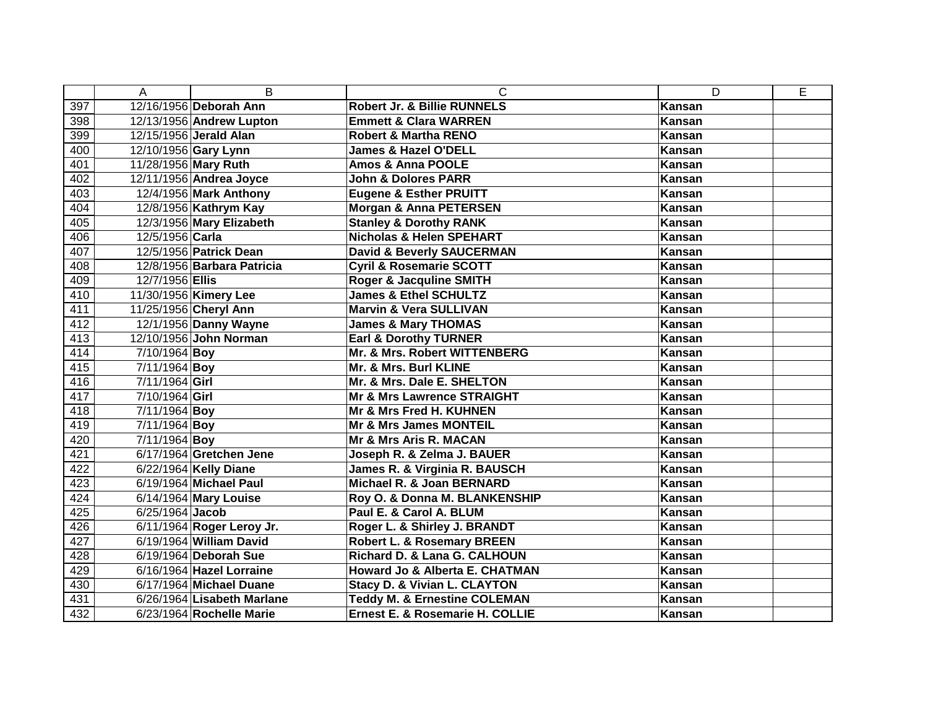|     | A                    | B                          | C                                       | D             | E |
|-----|----------------------|----------------------------|-----------------------------------------|---------------|---|
| 397 |                      | 12/16/1956 Deborah Ann     | Robert Jr. & Billie RUNNELS             | <b>Kansan</b> |   |
| 398 |                      | 12/13/1956 Andrew Lupton   | <b>Emmett &amp; Clara WARREN</b>        | <b>Kansan</b> |   |
| 399 |                      | 12/15/1956 Jerald Alan     | <b>Robert &amp; Martha RENO</b>         | Kansan        |   |
| 400 |                      | 12/10/1956 Gary Lynn       | James & Hazel O'DELL                    | Kansan        |   |
| 401 | 11/28/1956 Mary Ruth |                            | <b>Amos &amp; Anna POOLE</b>            | Kansan        |   |
| 402 |                      | 12/11/1956 Andrea Joyce    | <b>John &amp; Dolores PARR</b>          | Kansan        |   |
| 403 |                      | 12/4/1956 Mark Anthony     | <b>Eugene &amp; Esther PRUITT</b>       | Kansan        |   |
| 404 |                      | 12/8/1956 Kathrym Kay      | <b>Morgan &amp; Anna PETERSEN</b>       | Kansan        |   |
| 405 |                      | 12/3/1956 Mary Elizabeth   | <b>Stanley &amp; Dorothy RANK</b>       | Kansan        |   |
| 406 | 12/5/1956 Carla      |                            | <b>Nicholas &amp; Helen SPEHART</b>     | Kansan        |   |
| 407 |                      | 12/5/1956 Patrick Dean     | <b>David &amp; Beverly SAUCERMAN</b>    | Kansan        |   |
| 408 |                      | 12/8/1956 Barbara Patricia | <b>Cyril &amp; Rosemarie SCOTT</b>      | Kansan        |   |
| 409 | 12/7/1956 Ellis      |                            | Roger & Jacquline SMITH                 | Kansan        |   |
| 410 |                      | 11/30/1956 Kimery Lee      | <b>James &amp; Ethel SCHULTZ</b>        | Kansan        |   |
| 411 |                      | 11/25/1956 Cheryl Ann      | <b>Marvin &amp; Vera SULLIVAN</b>       | Kansan        |   |
| 412 |                      | 12/1/1956 Danny Wayne      | <b>James &amp; Mary THOMAS</b>          | <b>Kansan</b> |   |
| 413 |                      | 12/10/1956 John Norman     | <b>Earl &amp; Dorothy TURNER</b>        | Kansan        |   |
| 414 | 7/10/1964 Boy        |                            | Mr. & Mrs. Robert WITTENBERG            | Kansan        |   |
| 415 | 7/11/1964 Boy        |                            | Mr. & Mrs. Burl KLINE                   | <b>Kansan</b> |   |
| 416 | 7/11/1964 Girl       |                            | Mr. & Mrs. Dale E. SHELTON              | Kansan        |   |
| 417 | 7/10/1964 Girl       |                            | <b>Mr &amp; Mrs Lawrence STRAIGHT</b>   | Kansan        |   |
| 418 | 7/11/1964 Boy        |                            | Mr & Mrs Fred H. KUHNEN                 | Kansan        |   |
| 419 | 7/11/1964 Boy        |                            | <b>Mr &amp; Mrs James MONTEIL</b>       | Kansan        |   |
| 420 | 7/11/1964 Boy        |                            | Mr & Mrs Aris R. MACAN                  | Kansan        |   |
| 421 |                      | 6/17/1964 Gretchen Jene    | Joseph R. & Zelma J. BAUER              | Kansan        |   |
| 422 |                      | 6/22/1964 Kelly Diane      | James R. & Virginia R. BAUSCH           | Kansan        |   |
| 423 |                      | 6/19/1964 Michael Paul     | Michael R. & Joan BERNARD               | Kansan        |   |
| 424 |                      | 6/14/1964 Mary Louise      | Roy O. & Donna M. BLANKENSHIP           | Kansan        |   |
| 425 | 6/25/1964 Jacob      |                            | Paul E. & Carol A. BLUM                 | <b>Kansan</b> |   |
| 426 |                      | 6/11/1964 Roger Leroy Jr.  | Roger L. & Shirley J. BRANDT            | Kansan        |   |
| 427 |                      | 6/19/1964 William David    | Robert L. & Rosemary BREEN              | Kansan        |   |
| 428 |                      | 6/19/1964 Deborah Sue      | Richard D. & Lana G. CALHOUN            | Kansan        |   |
| 429 |                      | 6/16/1964 Hazel Lorraine   | Howard Jo & Alberta E. CHATMAN          | Kansan        |   |
| 430 |                      | 6/17/1964 Michael Duane    | <b>Stacy D. &amp; Vivian L. CLAYTON</b> | Kansan        |   |
| 431 |                      | 6/26/1964 Lisabeth Marlane | <b>Teddy M. &amp; Ernestine COLEMAN</b> | Kansan        |   |
| 432 |                      | 6/23/1964 Rochelle Marie   | Ernest E. & Rosemarie H. COLLIE         | <b>Kansan</b> |   |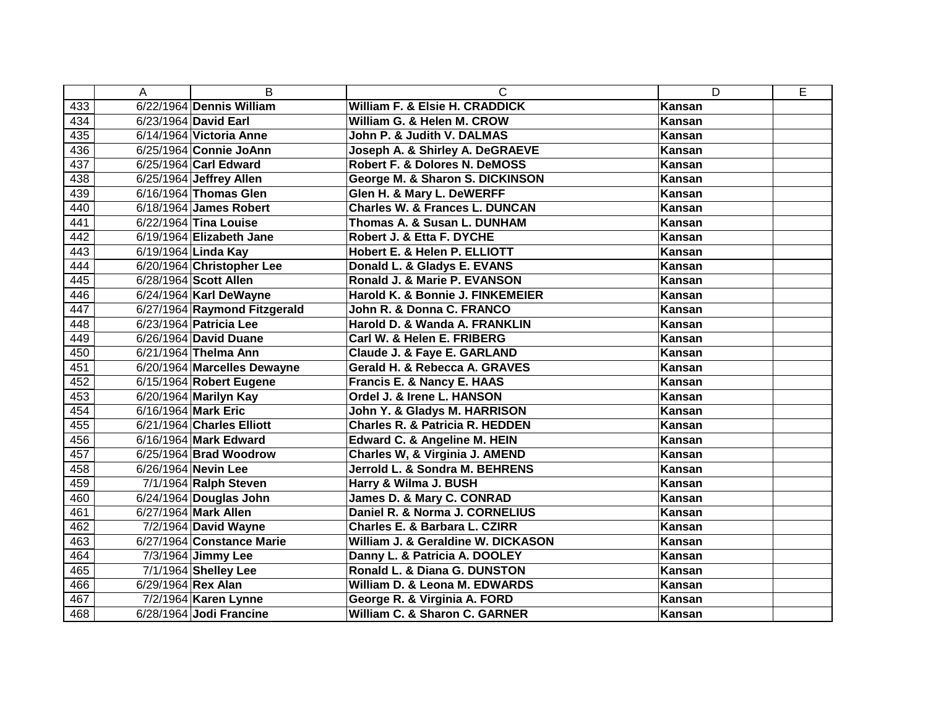|                  | A                  | B                            | C                                          | D             | E |
|------------------|--------------------|------------------------------|--------------------------------------------|---------------|---|
| 433              |                    | 6/22/1964 Dennis William     | William F. & Elsie H. CRADDICK             | <b>Kansan</b> |   |
| 434              |                    | 6/23/1964 David Earl         | William G. & Helen M. CROW                 | Kansan        |   |
| 435              |                    | 6/14/1964 Victoria Anne      | John P. & Judith V. DALMAS                 | Kansan        |   |
| 436              |                    | 6/25/1964 Connie JoAnn       | Joseph A. & Shirley A. DeGRAEVE            | Kansan        |   |
| 437              |                    | 6/25/1964 Carl Edward        | Robert F. & Dolores N. DeMOSS              | Kansan        |   |
| 438              |                    | 6/25/1964 Jeffrey Allen      | George M. & Sharon S. DICKINSON            | Kansan        |   |
| 439              |                    | 6/16/1964 Thomas Glen        | Glen H. & Mary L. DeWERFF                  | Kansan        |   |
| 440              |                    | 6/18/1964 James Robert       | <b>Charles W. &amp; Frances L. DUNCAN</b>  | Kansan        |   |
| 441              |                    | 6/22/1964 Tina Louise        | Thomas A. & Susan L. DUNHAM                | Kansan        |   |
| 442              |                    | 6/19/1964 Elizabeth Jane     | Robert J. & Etta F. DYCHE                  | Kansan        |   |
| 443              |                    | 6/19/1964 Linda Kay          | Hobert E. & Helen P. ELLIOTT               | Kansan        |   |
| 444              |                    | 6/20/1964 Christopher Lee    | Donald L. & Gladys E. EVANS                | Kansan        |   |
| 445              |                    | 6/28/1964 Scott Allen        | Ronald J. & Marie P. EVANSON               | Kansan        |   |
| 446              |                    | 6/24/1964 Karl DeWayne       | Harold K. & Bonnie J. FINKEMEIER           | Kansan        |   |
| 447              |                    | 6/27/1964 Raymond Fitzgerald | John R. & Donna C. FRANCO                  | <b>Kansan</b> |   |
| 448              |                    | 6/23/1964 Patricia Lee       | Harold D. & Wanda A. FRANKLIN              | Kansan        |   |
| 449              |                    | 6/26/1964 David Duane        | Carl W. & Helen E. FRIBERG                 | Kansan        |   |
| 450              |                    | 6/21/1964 Thelma Ann         | Claude J. & Faye E. GARLAND                | Kansan        |   |
| 451              |                    | 6/20/1964 Marcelles Dewayne  | Gerald H. & Rebecca A. GRAVES              | Kansan        |   |
| 452              |                    | 6/15/1964 Robert Eugene      | Francis E. & Nancy E. HAAS                 | Kansan        |   |
| 453              |                    | 6/20/1964 Marilyn Kay        | Ordel J. & Irene L. HANSON                 | Kansan        |   |
| $45\overline{4}$ |                    | 6/16/1964 Mark Eric          | John Y. & Gladys M. HARRISON               | Kansan        |   |
| 455              |                    | 6/21/1964 Charles Elliott    | <b>Charles R. &amp; Patricia R. HEDDEN</b> | Kansan        |   |
| 456              |                    | 6/16/1964 Mark Edward        | <b>Edward C. &amp; Angeline M. HEIN</b>    | <b>Kansan</b> |   |
| 457              |                    | 6/25/1964 Brad Woodrow       | Charles W, & Virginia J. AMEND             | Kansan        |   |
| 458              |                    | 6/26/1964 Nevin Lee          | Jerrold L. & Sondra M. BEHRENS             | Kansan        |   |
| 459              |                    | 7/1/1964 Ralph Steven        | Harry & Wilma J. BUSH                      | Kansan        |   |
| 460              |                    | $6/24/1964$ Douglas John     | James D. & Mary C. CONRAD                  | Kansan        |   |
| 461              |                    | 6/27/1964 Mark Allen         | Daniel R. & Norma J. CORNELIUS             | Kansan        |   |
| 462              |                    | 7/2/1964 David Wayne         | Charles E. & Barbara L. CZIRR              | Kansan        |   |
| 463              |                    | 6/27/1964 Constance Marie    | William J. & Geraldine W. DICKASON         | Kansan        |   |
| 464              |                    | 7/3/1964 Jimmy Lee           | Danny L. & Patricia A. DOOLEY              | Kansan        |   |
| 465              |                    | 7/1/1964 Shelley Lee         | Ronald L. & Diana G. DUNSTON               | Kansan        |   |
| 466              | 6/29/1964 Rex Alan |                              | William D. & Leona M. EDWARDS              | Kansan        |   |
| 467              |                    | 7/2/1964 Karen Lynne         | George R. & Virginia A. FORD               | Kansan        |   |
| 468              |                    | 6/28/1964 Jodi Francine      | William C. & Sharon C. GARNER              | Kansan        |   |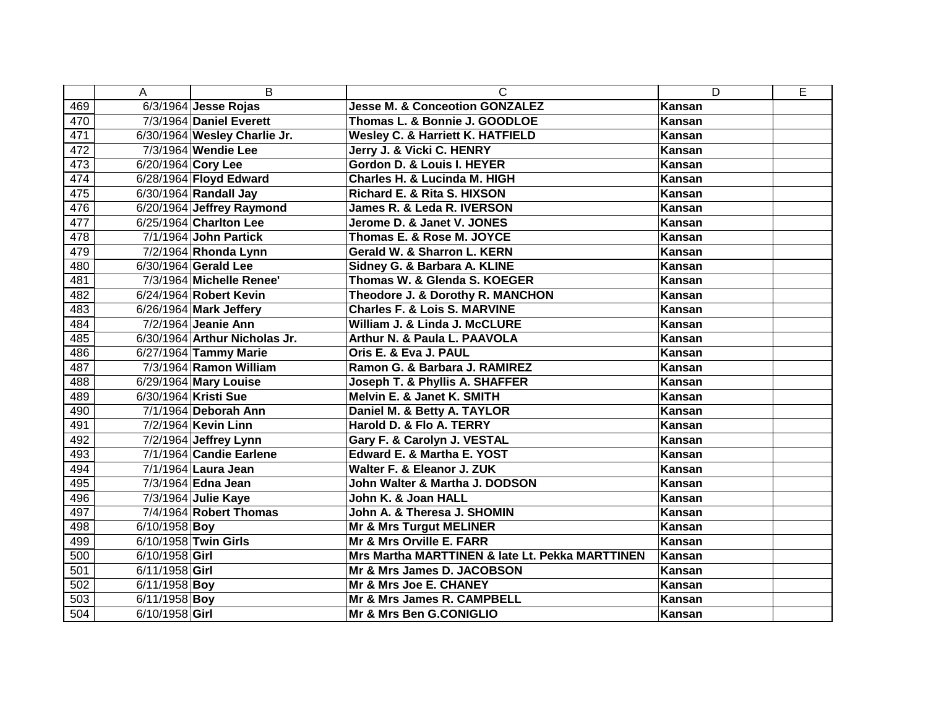|     | A                  | B                             | $\mathsf{C}$                                    | D             | E |
|-----|--------------------|-------------------------------|-------------------------------------------------|---------------|---|
| 469 |                    | 6/3/1964 Jesse Rojas          | <b>Jesse M. &amp; Conceotion GONZALEZ</b>       | Kansan        |   |
| 470 |                    | 7/3/1964 Daniel Everett       | Thomas L. & Bonnie J. GOODLOE                   | Kansan        |   |
| 471 |                    | 6/30/1964 Wesley Charlie Jr.  | <b>Wesley C. &amp; Harriett K. HATFIELD</b>     | Kansan        |   |
| 472 |                    | 7/3/1964 Wendie Lee           | Jerry J. & Vicki C. HENRY                       | Kansan        |   |
| 473 | 6/20/1964 Cory Lee |                               | Gordon D. & Louis I. HEYER                      | Kansan        |   |
| 474 |                    | 6/28/1964 Floyd Edward        | <b>Charles H. &amp; Lucinda M. HIGH</b>         | Kansan        |   |
| 475 |                    | 6/30/1964 Randall Jay         | Richard E. & Rita S. HIXSON                     | Kansan        |   |
| 476 |                    | 6/20/1964 Jeffrey Raymond     | James R. & Leda R. IVERSON                      | Kansan        |   |
| 477 |                    | 6/25/1964 Charlton Lee        | Jerome D. & Janet V. JONES                      | Kansan        |   |
| 478 |                    | 7/1/1964 John Partick         | Thomas E. & Rose M. JOYCE                       | Kansan        |   |
| 479 |                    | 7/2/1964 Rhonda Lynn          | Gerald W. & Sharron L. KERN                     | Kansan        |   |
| 480 |                    | 6/30/1964 Gerald Lee          | Sidney G. & Barbara A. KLINE                    | Kansan        |   |
| 481 |                    | 7/3/1964 Michelle Renee'      | Thomas W. & Glenda S. KOEGER                    | Kansan        |   |
| 482 |                    | 6/24/1964 Robert Kevin        | Theodore J. & Dorothy R. MANCHON                | Kansan        |   |
| 483 |                    | 6/26/1964 Mark Jeffery        | <b>Charles F. &amp; Lois S. MARVINE</b>         | <b>Kansan</b> |   |
| 484 |                    | 7/2/1964 Jeanie Ann           | William J. & Linda J. McCLURE                   | <b>Kansan</b> |   |
| 485 |                    | 6/30/1964 Arthur Nicholas Jr. | Arthur N. & Paula L. PAAVOLA                    | Kansan        |   |
| 486 |                    | 6/27/1964 Tammy Marie         | Oris E. & Eva J. PAUL                           | <b>Kansan</b> |   |
| 487 |                    | 7/3/1964 Ramon William        | Ramon G. & Barbara J. RAMIREZ                   | <b>Kansan</b> |   |
| 488 |                    | 6/29/1964 Mary Louise         | Joseph T. & Phyllis A. SHAFFER                  | Kansan        |   |
| 489 |                    | 6/30/1964 Kristi Sue          | Melvin E. & Janet K. SMITH                      | <b>Kansan</b> |   |
| 490 |                    | 7/1/1964 Deborah Ann          | Daniel M. & Betty A. TAYLOR                     | <b>Kansan</b> |   |
| 491 |                    | 7/2/1964 Kevin Linn           | Harold D. & Flo A. TERRY                        | <b>Kansan</b> |   |
| 492 |                    | 7/2/1964 Jeffrey Lynn         | Gary F. & Carolyn J. VESTAL                     | Kansan        |   |
| 493 |                    | 7/1/1964 Candie Earlene       | <b>Edward E. &amp; Martha E. YOST</b>           | Kansan        |   |
| 494 |                    | 7/1/1964 Laura Jean           | Walter F. & Eleanor J. ZUK                      | Kansan        |   |
| 495 |                    | 7/3/1964 Edna Jean            | John Walter & Martha J. DODSON                  | Kansan        |   |
| 496 |                    | 7/3/1964 Julie Kaye           | John K. & Joan HALL                             | Kansan        |   |
| 497 |                    | 7/4/1964 Robert Thomas        | John A. & Theresa J. SHOMIN                     | <b>Kansan</b> |   |
| 498 | 6/10/1958 Boy      |                               | <b>Mr &amp; Mrs Turgut MELINER</b>              | Kansan        |   |
| 499 |                    | 6/10/1958 Twin Girls          | Mr & Mrs Orville E. FARR                        | Kansan        |   |
| 500 | 6/10/1958 Girl     |                               | Mrs Martha MARTTINEN & late Lt. Pekka MARTTINEN | Kansan        |   |
| 501 | 6/11/1958 Girl     |                               | Mr & Mrs James D. JACOBSON                      | Kansan        |   |
| 502 | 6/11/1958 Boy      |                               | Mr & Mrs Joe E. CHANEY                          | Kansan        |   |
| 503 | 6/11/1958 Boy      |                               | Mr & Mrs James R. CAMPBELL                      | Kansan        |   |
| 504 | 6/10/1958 Girl     |                               | Mr & Mrs Ben G.CONIGLIO                         | Kansan        |   |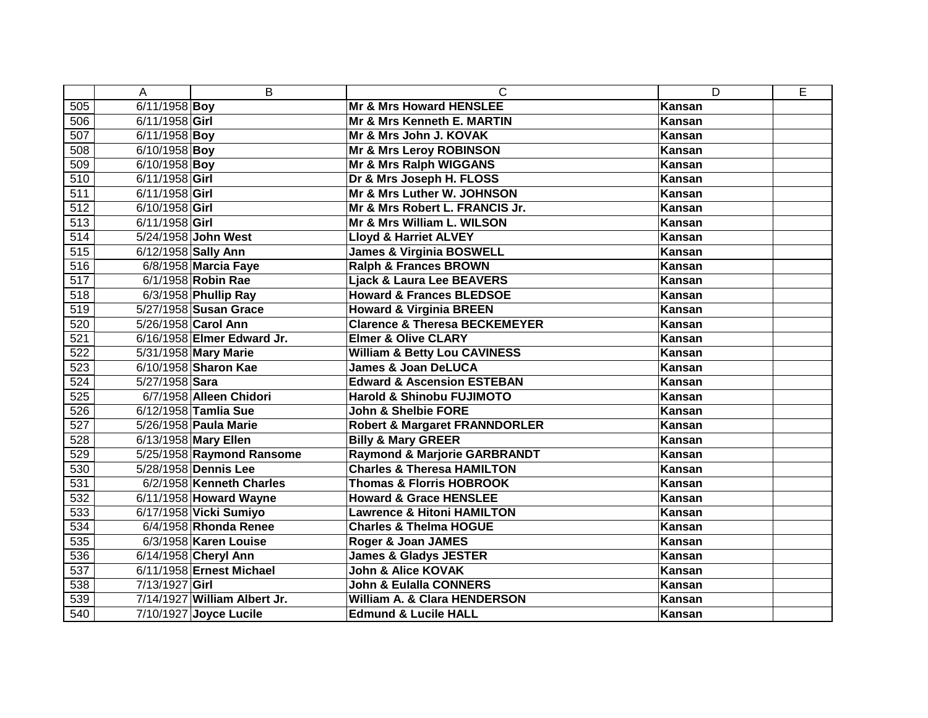|                  | A                   | B                            | C                                        | D             | E |
|------------------|---------------------|------------------------------|------------------------------------------|---------------|---|
| 505              | 6/11/1958 Boy       |                              | <b>Mr &amp; Mrs Howard HENSLEE</b>       | <b>Kansan</b> |   |
| 506              | 6/11/1958 Girl      |                              | Mr & Mrs Kenneth E. MARTIN               | <b>Kansan</b> |   |
| 507              | 6/11/1958 Boy       |                              | <b>Mr &amp; Mrs John J. KOVAK</b>        | Kansan        |   |
| 508              | 6/10/1958 Boy       |                              | <b>Mr &amp; Mrs Leroy ROBINSON</b>       | Kansan        |   |
| 509              | 6/10/1958 Boy       |                              | Mr & Mrs Ralph WIGGANS                   | Kansan        |   |
| 510              | 6/11/1958 Girl      |                              | Dr & Mrs Joseph H. FLOSS                 | Kansan        |   |
| 511              | 6/11/1958 Girl      |                              | Mr & Mrs Luther W. JOHNSON               | Kansan        |   |
| 512              | 6/10/1958 Girl      |                              | Mr & Mrs Robert L. FRANCIS Jr.           | Kansan        |   |
| 513              | 6/11/1958 Girl      |                              | Mr & Mrs William L. WILSON               | Kansan        |   |
| 514              |                     | 5/24/1958 John West          | <b>Lloyd &amp; Harriet ALVEY</b>         | Kansan        |   |
| 515              | 6/12/1958 Sally Ann |                              | <b>James &amp; Virginia BOSWELL</b>      | Kansan        |   |
| 516              |                     | 6/8/1958 Marcia Faye         | <b>Ralph &amp; Frances BROWN</b>         | Kansan        |   |
| 517              |                     | 6/1/1958 Robin Rae           | <b>Ljack &amp; Laura Lee BEAVERS</b>     | Kansan        |   |
| $\overline{518}$ |                     | 6/3/1958 Phullip Ray         | <b>Howard &amp; Frances BLEDSOE</b>      | Kansan        |   |
| 519              |                     | 5/27/1958 Susan Grace        | <b>Howard &amp; Virginia BREEN</b>       | Kansan        |   |
| 520              |                     | 5/26/1958 Carol Ann          | <b>Clarence &amp; Theresa BECKEMEYER</b> | <b>Kansan</b> |   |
| 521              |                     | 6/16/1958 Elmer Edward Jr.   | <b>Elmer &amp; Olive CLARY</b>           | Kansan        |   |
| 522              |                     | 5/31/1958 Mary Marie         | <b>William &amp; Betty Lou CAVINESS</b>  | Kansan        |   |
| 523              |                     | 6/10/1958 Sharon Kae         | <b>James &amp; Joan DeLUCA</b>           | Kansan        |   |
| 524              | 5/27/1958 Sara      |                              | <b>Edward &amp; Ascension ESTEBAN</b>    | Kansan        |   |
| 525              |                     | 6/7/1958 Alleen Chidori      | Harold & Shinobu FUJIMOTO                | Kansan        |   |
| 526              |                     | 6/12/1958 Tamlia Sue         | John & Shelbie FORE                      | Kansan        |   |
| 527              |                     | 5/26/1958 Paula Marie        | <b>Robert &amp; Margaret FRANNDORLER</b> | Kansan        |   |
| 528              |                     | 6/13/1958 Mary Ellen         | <b>Billy &amp; Mary GREER</b>            | Kansan        |   |
| 529              |                     | 5/25/1958 Raymond Ransome    | <b>Raymond &amp; Marjorie GARBRANDT</b>  | Kansan        |   |
| 530              |                     | 5/28/1958 Dennis Lee         | <b>Charles &amp; Theresa HAMILTON</b>    | Kansan        |   |
| 531              |                     | 6/2/1958 Kenneth Charles     | <b>Thomas &amp; Florris HOBROOK</b>      | Kansan        |   |
| 532              |                     | 6/11/1958 Howard Wayne       | <b>Howard &amp; Grace HENSLEE</b>        | Kansan        |   |
| 533              |                     | 6/17/1958 Vicki Sumiyo       | <b>Lawrence &amp; Hitoni HAMILTON</b>    | <b>Kansan</b> |   |
| 534              |                     | 6/4/1958 Rhonda Renee        | <b>Charles &amp; Thelma HOGUE</b>        | Kansan        |   |
| 535              |                     | 6/3/1958 Karen Louise        | Roger & Joan JAMES                       | Kansan        |   |
| 536              |                     | 6/14/1958 Cheryl Ann         | <b>James &amp; Gladys JESTER</b>         | Kansan        |   |
| 537              |                     | 6/11/1958 Ernest Michael     | John & Alice KOVAK                       | Kansan        |   |
| 538              | 7/13/1927 Girl      |                              | John & Eulalla CONNERS                   | Kansan        |   |
| 539              |                     | 7/14/1927 William Albert Jr. | <b>William A. &amp; Clara HENDERSON</b>  | Kansan        |   |
| 540              |                     | 7/10/1927 Joyce Lucile       | <b>Edmund &amp; Lucile HALL</b>          | Kansan        |   |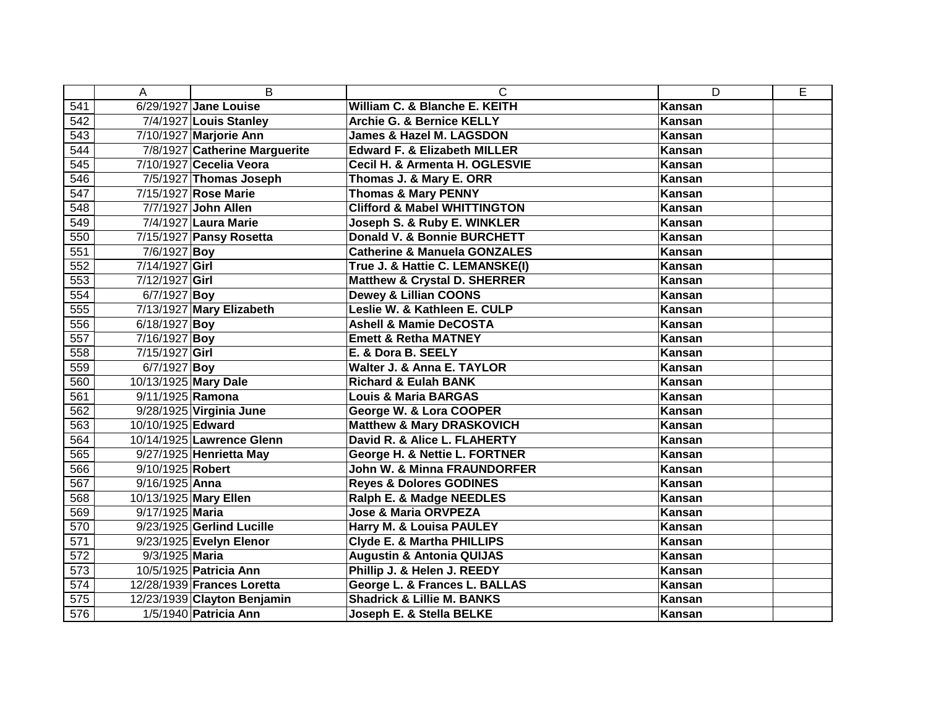|     | A                    | B                             | C                                       | D             | E |
|-----|----------------------|-------------------------------|-----------------------------------------|---------------|---|
| 541 |                      | 6/29/1927 Jane Louise         | William C. & Blanche E. KEITH           | <b>Kansan</b> |   |
| 542 |                      | 7/4/1927 Louis Stanley        | Archie G. & Bernice KELLY               | Kansan        |   |
| 543 |                      | 7/10/1927 Marjorie Ann        | <b>James &amp; Hazel M. LAGSDON</b>     | Kansan        |   |
| 544 |                      | 7/8/1927 Catherine Marguerite | <b>Edward F. &amp; Elizabeth MILLER</b> | Kansan        |   |
| 545 |                      | 7/10/1927 Cecelia Veora       | Cecil H. & Armenta H. OGLESVIE          | Kansan        |   |
| 546 |                      | 7/5/1927 Thomas Joseph        | Thomas J. & Mary E. ORR                 | Kansan        |   |
| 547 |                      | 7/15/1927 Rose Marie          | <b>Thomas &amp; Mary PENNY</b>          | Kansan        |   |
| 548 |                      | 7/7/1927 John Allen           | <b>Clifford &amp; Mabel WHITTINGTON</b> | Kansan        |   |
| 549 |                      | 7/4/1927 Laura Marie          | Joseph S. & Ruby E. WINKLER             | Kansan        |   |
| 550 |                      | 7/15/1927 Pansy Rosetta       | Donald V. & Bonnie BURCHETT             | Kansan        |   |
| 551 | 7/6/1927 Boy         |                               | <b>Catherine &amp; Manuela GONZALES</b> | Kansan        |   |
| 552 | 7/14/1927 Girl       |                               | True J. & Hattie C. LEMANSKE(I)         | Kansan        |   |
| 553 | 7/12/1927 Girl       |                               | <b>Matthew &amp; Crystal D. SHERRER</b> | Kansan        |   |
| 554 | $6/7/1927$ Boy       |                               | <b>Dewey &amp; Lillian COONS</b>        | Kansan        |   |
| 555 |                      | 7/13/1927 Mary Elizabeth      | Leslie W. & Kathleen E. CULP            | Kansan        |   |
| 556 | 6/18/1927 Boy        |                               | <b>Ashell &amp; Mamie DeCOSTA</b>       | Kansan        |   |
| 557 | 7/16/1927 Boy        |                               | <b>Emett &amp; Retha MATNEY</b>         | Kansan        |   |
| 558 | 7/15/1927 Girl       |                               | E. & Dora B. SEELY                      | Kansan        |   |
| 559 | $6/7/1927$ Boy       |                               | Walter J. & Anna E. TAYLOR              | Kansan        |   |
| 560 | 10/13/1925 Mary Dale |                               | <b>Richard &amp; Eulah BANK</b>         | Kansan        |   |
| 561 | 9/11/1925 Ramona     |                               | <b>Louis &amp; Maria BARGAS</b>         | Kansan        |   |
| 562 |                      | 9/28/1925 Virginia June       | George W. & Lora COOPER                 | Kansan        |   |
| 563 | 10/10/1925 Edward    |                               | <b>Matthew &amp; Mary DRASKOVICH</b>    | Kansan        |   |
| 564 |                      | 10/14/1925 Lawrence Glenn     | David R. & Alice L. FLAHERTY            | Kansan        |   |
| 565 |                      | 9/27/1925 Henrietta May       | George H. & Nettie L. FORTNER           | Kansan        |   |
| 566 | 9/10/1925 Robert     |                               | John W. & Minna FRAUNDORFER             | Kansan        |   |
| 567 | 9/16/1925 Anna       |                               | <b>Reyes &amp; Dolores GODINES</b>      | Kansan        |   |
| 568 |                      | 10/13/1925 Mary Ellen         | Ralph E. & Madge NEEDLES                | Kansan        |   |
| 569 | 9/17/1925 Maria      |                               | <b>Jose &amp; Maria ORVPEZA</b>         | <b>Kansan</b> |   |
| 570 |                      | 9/23/1925 Gerlind Lucille     | Harry M. & Louisa PAULEY                | Kansan        |   |
| 571 |                      | 9/23/1925 Evelyn Elenor       | <b>Clyde E. &amp; Martha PHILLIPS</b>   | Kansan        |   |
| 572 | 9/3/1925 Maria       |                               | <b>Augustin &amp; Antonia QUIJAS</b>    | <b>Kansan</b> |   |
| 573 |                      | 10/5/1925 Patricia Ann        | Phillip J. & Helen J. REEDY             | Kansan        |   |
| 574 |                      | 12/28/1939 Frances Loretta    | George L. & Frances L. BALLAS           | Kansan        |   |
| 575 |                      | 12/23/1939 Clayton Benjamin   | <b>Shadrick &amp; Lillie M. BANKS</b>   | Kansan        |   |
| 576 |                      | 1/5/1940 Patricia Ann         | Joseph E. & Stella BELKE                | Kansan        |   |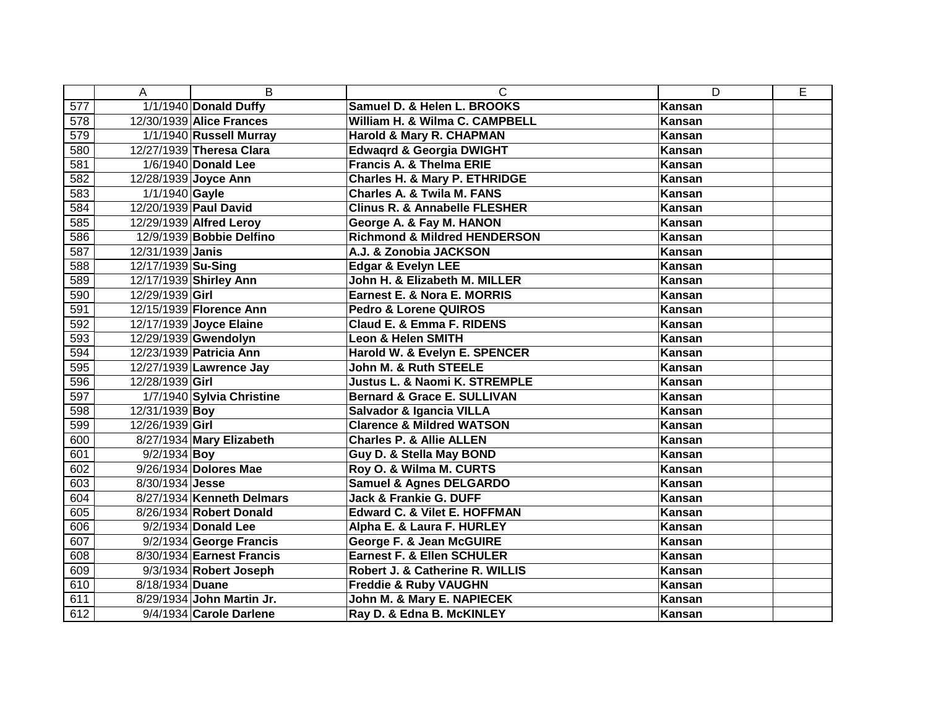|     | A                  | B                         | C                                        | D             | E |
|-----|--------------------|---------------------------|------------------------------------------|---------------|---|
| 577 |                    | 1/1/1940 Donald Duffy     | Samuel D. & Helen L. BROOKS              | <b>Kansan</b> |   |
| 578 |                    | 12/30/1939 Alice Frances  | William H. & Wilma C. CAMPBELL           | Kansan        |   |
| 579 |                    | 1/1/1940 Russell Murray   | Harold & Mary R. CHAPMAN                 | Kansan        |   |
| 580 |                    | 12/27/1939 Theresa Clara  | <b>Edwagrd &amp; Georgia DWIGHT</b>      | Kansan        |   |
| 581 |                    | 1/6/1940 Donald Lee       | <b>Francis A. &amp; Thelma ERIE</b>      | Kansan        |   |
| 582 |                    | 12/28/1939 Joyce Ann      | <b>Charles H. &amp; Mary P. ETHRIDGE</b> | Kansan        |   |
| 583 | 1/1/1940 Gayle     |                           | <b>Charles A. &amp; Twila M. FANS</b>    | Kansan        |   |
| 584 |                    | 12/20/1939 Paul David     | <b>Clinus R. &amp; Annabelle FLESHER</b> | Kansan        |   |
| 585 |                    | 12/29/1939 Alfred Leroy   | George A. & Fay M. HANON                 | <b>Kansan</b> |   |
| 586 |                    | 12/9/1939 Bobbie Delfino  | <b>Richmond &amp; Mildred HENDERSON</b>  | Kansan        |   |
| 587 | 12/31/1939 Janis   |                           | A.J. & Zonobia JACKSON                   | Kansan        |   |
| 588 | 12/17/1939 Su-Sing |                           | <b>Edgar &amp; Evelyn LEE</b>            | Kansan        |   |
| 589 |                    | 12/17/1939 Shirley Ann    | John H. & Elizabeth M. MILLER            | Kansan        |   |
| 590 | 12/29/1939 Girl    |                           | Earnest E. & Nora E. MORRIS              | Kansan        |   |
| 591 |                    | 12/15/1939 Florence Ann   | <b>Pedro &amp; Lorene QUIROS</b>         | Kansan        |   |
| 592 |                    | 12/17/1939 Joyce Elaine   | Claud E. & Emma F. RIDENS                | <b>Kansan</b> |   |
| 593 |                    | 12/29/1939 Gwendolyn      | <b>Leon &amp; Helen SMITH</b>            | Kansan        |   |
| 594 |                    | 12/23/1939 Patricia Ann   | Harold W. & Evelyn E. SPENCER            | Kansan        |   |
| 595 |                    | 12/27/1939 Lawrence Jay   | <b>John M. &amp; Ruth STEELE</b>         | Kansan        |   |
| 596 | 12/28/1939 Girl    |                           | <b>Justus L. &amp; Naomi K. STREMPLE</b> | Kansan        |   |
| 597 |                    | 1/7/1940 Sylvia Christine | <b>Bernard &amp; Grace E. SULLIVAN</b>   | Kansan        |   |
| 598 | 12/31/1939 Boy     |                           | <b>Salvador &amp; Igancia VILLA</b>      | Kansan        |   |
| 599 | 12/26/1939 Girl    |                           | <b>Clarence &amp; Mildred WATSON</b>     | Kansan        |   |
| 600 |                    | 8/27/1934 Mary Elizabeth  | <b>Charles P. &amp; Allie ALLEN</b>      | Kansan        |   |
| 601 | $9/2/1934$ Boy     |                           | Guy D. & Stella May BOND                 | Kansan        |   |
| 602 |                    | 9/26/1934 Dolores Mae     | Roy O. & Wilma M. CURTS                  | <b>Kansan</b> |   |
| 603 | 8/30/1934 Jesse    |                           | <b>Samuel &amp; Agnes DELGARDO</b>       | Kansan        |   |
| 604 |                    | 8/27/1934 Kenneth Delmars | <b>Jack &amp; Frankie G. DUFF</b>        | Kansan        |   |
| 605 |                    | 8/26/1934 Robert Donald   | <b>Edward C. &amp; Vilet E. HOFFMAN</b>  | Kansan        |   |
| 606 |                    | 9/2/1934 Donald Lee       | Alpha E. & Laura F. HURLEY               | Kansan        |   |
| 607 |                    | 9/2/1934 George Francis   | George F. & Jean McGUIRE                 | Kansan        |   |
| 608 |                    | 8/30/1934 Earnest Francis | <b>Earnest F. &amp; Ellen SCHULER</b>    | Kansan        |   |
| 609 |                    | 9/3/1934 Robert Joseph    | Robert J. & Catherine R. WILLIS          | Kansan        |   |
| 610 | 8/18/1934 Duane    |                           | <b>Freddie &amp; Ruby VAUGHN</b>         | Kansan        |   |
| 611 |                    | 8/29/1934 John Martin Jr. | John M. & Mary E. NAPIECEK               | Kansan        |   |
| 612 |                    | 9/4/1934 Carole Darlene   | Ray D. & Edna B. McKINLEY                | Kansan        |   |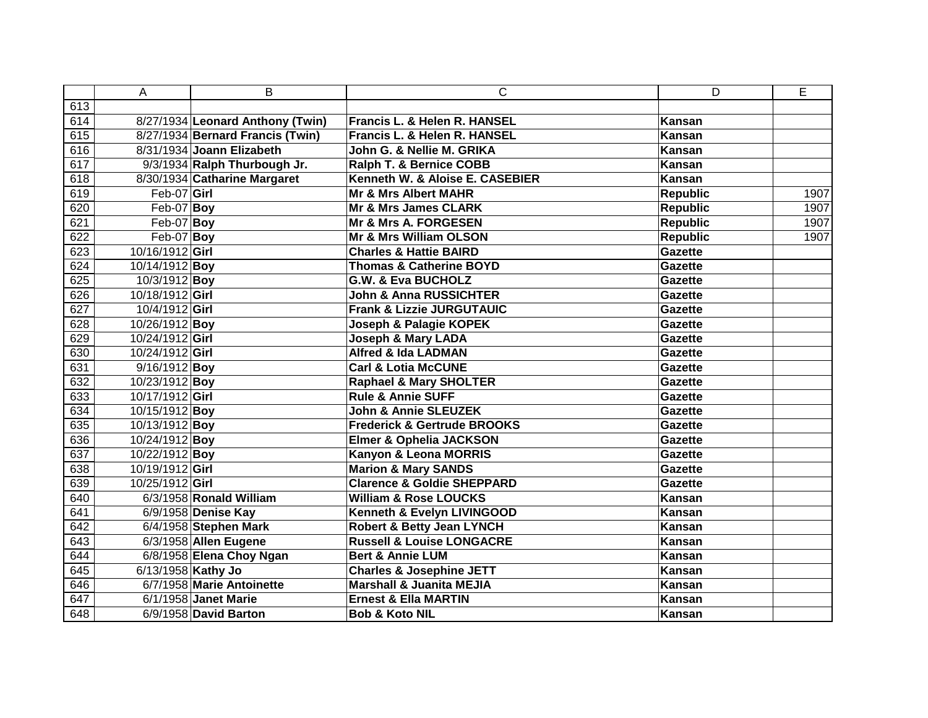|     | A                  | B                                | C                                      | D               | E    |
|-----|--------------------|----------------------------------|----------------------------------------|-----------------|------|
| 613 |                    |                                  |                                        |                 |      |
| 614 |                    | 8/27/1934 Leonard Anthony (Twin) | Francis L. & Helen R. HANSEL           | Kansan          |      |
| 615 |                    | 8/27/1934 Bernard Francis (Twin) | Francis L. & Helen R. HANSEL           | Kansan          |      |
| 616 |                    | 8/31/1934 Joann Elizabeth        | John G. & Nellie M. GRIKA              | Kansan          |      |
| 617 |                    | 9/3/1934 Ralph Thurbough Jr.     | <b>Ralph T. &amp; Bernice COBB</b>     | Kansan          |      |
| 618 |                    | 8/30/1934 Catharine Margaret     | Kenneth W. & Aloise E. CASEBIER        | Kansan          |      |
| 619 | $Feb-07$ Girl      |                                  | <b>Mr &amp; Mrs Albert MAHR</b>        | <b>Republic</b> | 1907 |
| 620 | $Feb-07$ Boy       |                                  | Mr & Mrs James CLARK                   | <b>Republic</b> | 1907 |
| 621 | Feb-07 Boy         |                                  | <b>Mr &amp; Mrs A. FORGESEN</b>        | <b>Republic</b> | 1907 |
| 622 | $Feb-07$ Boy       |                                  | Mr & Mrs William OLSON                 | <b>Republic</b> | 1907 |
| 623 | 10/16/1912 Girl    |                                  | <b>Charles &amp; Hattie BAIRD</b>      | Gazette         |      |
| 624 | 10/14/1912 Boy     |                                  | <b>Thomas &amp; Catherine BOYD</b>     | Gazette         |      |
| 625 | 10/3/1912 Boy      |                                  | <b>G.W. &amp; Eva BUCHOLZ</b>          | Gazette         |      |
| 626 | 10/18/1912 Girl    |                                  | <b>John &amp; Anna RUSSICHTER</b>      | Gazette         |      |
| 627 | 10/4/1912 Girl     |                                  | <b>Frank &amp; Lizzie JURGUTAUIC</b>   | Gazette         |      |
| 628 | 10/26/1912 Boy     |                                  | Joseph & Palagie KOPEK                 | Gazette         |      |
| 629 | 10/24/1912 Girl    |                                  | <b>Joseph &amp; Mary LADA</b>          | Gazette         |      |
| 630 | 10/24/1912 Girl    |                                  | <b>Alfred &amp; Ida LADMAN</b>         | <b>Gazette</b>  |      |
| 631 | 9/16/1912 Boy      |                                  | <b>Carl &amp; Lotia McCUNE</b>         | <b>Gazette</b>  |      |
| 632 | 10/23/1912 Boy     |                                  | <b>Raphael &amp; Mary SHOLTER</b>      | Gazette         |      |
| 633 | 10/17/1912 Girl    |                                  | <b>Rule &amp; Annie SUFF</b>           | <b>Gazette</b>  |      |
| 634 | 10/15/1912 Boy     |                                  | <b>John &amp; Annie SLEUZEK</b>        | <b>Gazette</b>  |      |
| 635 | 10/13/1912 Boy     |                                  | <b>Frederick &amp; Gertrude BROOKS</b> | <b>Gazette</b>  |      |
| 636 | 10/24/1912 Boy     |                                  | <b>Elmer &amp; Ophelia JACKSON</b>     | <b>Gazette</b>  |      |
| 637 | 10/22/1912 Boy     |                                  | Kanyon & Leona MORRIS                  | Gazette         |      |
| 638 | 10/19/1912 Girl    |                                  | <b>Marion &amp; Mary SANDS</b>         | <b>Gazette</b>  |      |
| 639 | 10/25/1912 Girl    |                                  | <b>Clarence &amp; Goldie SHEPPARD</b>  | Gazette         |      |
| 640 |                    | 6/3/1958 Ronald William          | <b>William &amp; Rose LOUCKS</b>       | Kansan          |      |
| 641 |                    | 6/9/1958 Denise Kay              | Kenneth & Evelyn LIVINGOOD             | Kansan          |      |
| 642 |                    | 6/4/1958 Stephen Mark            | <b>Robert &amp; Betty Jean LYNCH</b>   | Kansan          |      |
| 643 |                    | 6/3/1958 Allen Eugene            | <b>Russell &amp; Louise LONGACRE</b>   | Kansan          |      |
| 644 |                    | 6/8/1958 Elena Choy Ngan         | <b>Bert &amp; Annie LUM</b>            | Kansan          |      |
| 645 | 6/13/1958 Kathy Jo |                                  | <b>Charles &amp; Josephine JETT</b>    | Kansan          |      |
| 646 |                    | 6/7/1958 Marie Antoinette        | <b>Marshall &amp; Juanita MEJIA</b>    | Kansan          |      |
| 647 |                    | 6/1/1958 Janet Marie             | <b>Ernest &amp; Ella MARTIN</b>        | Kansan          |      |
| 648 |                    | 6/9/1958 David Barton            | <b>Bob &amp; Koto NIL</b>              | Kansan          |      |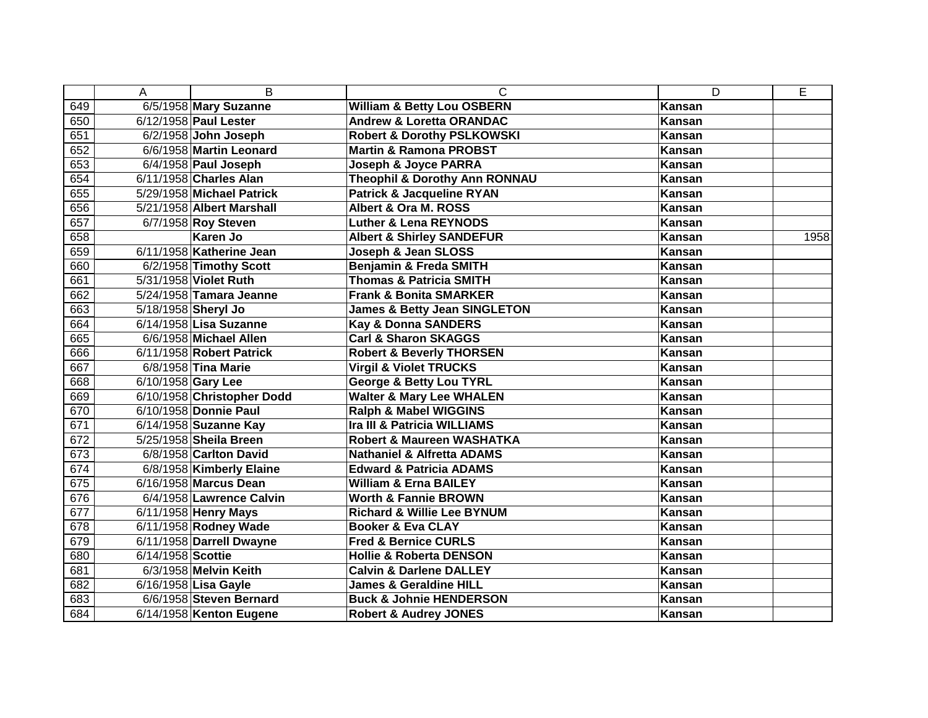|     | A                  | B                          | C                                        | D             | E    |
|-----|--------------------|----------------------------|------------------------------------------|---------------|------|
| 649 |                    | 6/5/1958 Mary Suzanne      | <b>William &amp; Betty Lou OSBERN</b>    | <b>Kansan</b> |      |
| 650 |                    | 6/12/1958 Paul Lester      | <b>Andrew &amp; Loretta ORANDAC</b>      | Kansan        |      |
| 651 |                    | 6/2/1958 John Joseph       | <b>Robert &amp; Dorothy PSLKOWSKI</b>    | Kansan        |      |
| 652 |                    | 6/6/1958 Martin Leonard    | <b>Martin &amp; Ramona PROBST</b>        | Kansan        |      |
| 653 |                    | 6/4/1958 Paul Joseph       | <b>Joseph &amp; Joyce PARRA</b>          | Kansan        |      |
| 654 |                    | 6/11/1958 Charles Alan     | <b>Theophil &amp; Dorothy Ann RONNAU</b> | Kansan        |      |
| 655 |                    | 5/29/1958 Michael Patrick  | <b>Patrick &amp; Jacqueline RYAN</b>     | Kansan        |      |
| 656 |                    | 5/21/1958 Albert Marshall  | Albert & Ora M. ROSS                     | Kansan        |      |
| 657 |                    | 6/7/1958 Roy Steven        | <b>Luther &amp; Lena REYNODS</b>         | Kansan        |      |
| 658 |                    | Karen Jo                   | <b>Albert &amp; Shirley SANDEFUR</b>     | Kansan        | 1958 |
| 659 |                    | 6/11/1958 Katherine Jean   | Joseph & Jean SLOSS                      | Kansan        |      |
| 660 |                    | 6/2/1958 Timothy Scott     | Benjamin & Freda SMITH                   | Kansan        |      |
| 661 |                    | 5/31/1958 Violet Ruth      | <b>Thomas &amp; Patricia SMITH</b>       | Kansan        |      |
| 662 |                    | 5/24/1958 Tamara Jeanne    | <b>Frank &amp; Bonita SMARKER</b>        | Kansan        |      |
| 663 |                    | 5/18/1958 Sheryl Jo        | <b>James &amp; Betty Jean SINGLETON</b>  | Kansan        |      |
| 664 |                    | 6/14/1958 Lisa Suzanne     | <b>Kay &amp; Donna SANDERS</b>           | Kansan        |      |
| 665 |                    | 6/6/1958 Michael Allen     | <b>Carl &amp; Sharon SKAGGS</b>          | Kansan        |      |
| 666 |                    | 6/11/1958 Robert Patrick   | <b>Robert &amp; Beverly THORSEN</b>      | Kansan        |      |
| 667 |                    | 6/8/1958 Tina Marie        | <b>Virgil &amp; Violet TRUCKS</b>        | Kansan        |      |
| 668 | 6/10/1958 Gary Lee |                            | <b>George &amp; Betty Lou TYRL</b>       | Kansan        |      |
| 669 |                    | 6/10/1958 Christopher Dodd | <b>Walter &amp; Mary Lee WHALEN</b>      | Kansan        |      |
| 670 |                    | 6/10/1958 Donnie Paul      | Ralph & Mabel WIGGINS                    | Kansan        |      |
| 671 |                    | 6/14/1958 Suzanne Kay      | Ira III & Patricia WILLIAMS              | Kansan        |      |
| 672 |                    | 5/25/1958 Sheila Breen     | <b>Robert &amp; Maureen WASHATKA</b>     | Kansan        |      |
| 673 |                    | 6/8/1958 Carlton David     | <b>Nathaniel &amp; Alfretta ADAMS</b>    | Kansan        |      |
| 674 |                    | 6/8/1958 Kimberly Elaine   | <b>Edward &amp; Patricia ADAMS</b>       | <b>Kansan</b> |      |
| 675 |                    | 6/16/1958 Marcus Dean      | <b>William &amp; Erna BAILEY</b>         | Kansan        |      |
| 676 |                    | 6/4/1958 Lawrence Calvin   | <b>Worth &amp; Fannie BROWN</b>          | Kansan        |      |
| 677 |                    | 6/11/1958 Henry Mays       | <b>Richard &amp; Willie Lee BYNUM</b>    | Kansan        |      |
| 678 |                    | 6/11/1958 Rodney Wade      | <b>Booker &amp; Eva CLAY</b>             | Kansan        |      |
| 679 |                    | 6/11/1958 Darrell Dwayne   | <b>Fred &amp; Bernice CURLS</b>          | <b>Kansan</b> |      |
| 680 | 6/14/1958 Scottie  |                            | <b>Hollie &amp; Roberta DENSON</b>       | Kansan        |      |
| 681 |                    | 6/3/1958 Melvin Keith      | <b>Calvin &amp; Darlene DALLEY</b>       | Kansan        |      |
| 682 |                    | 6/16/1958 Lisa Gayle       | <b>James &amp; Geraldine HILL</b>        | Kansan        |      |
| 683 |                    | 6/6/1958 Steven Bernard    | <b>Buck &amp; Johnie HENDERSON</b>       | Kansan        |      |
| 684 |                    | 6/14/1958 Kenton Eugene    | <b>Robert &amp; Audrey JONES</b>         | Kansan        |      |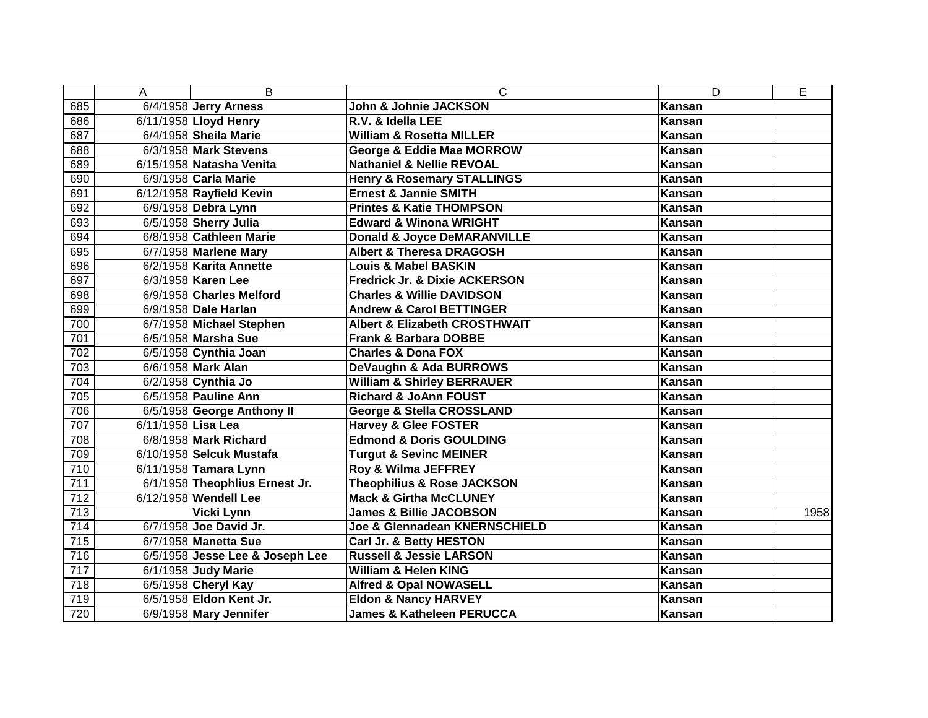|     | A                  | B                               | $\mathsf{C}$                             | D             | E    |
|-----|--------------------|---------------------------------|------------------------------------------|---------------|------|
| 685 |                    | $\sqrt{6/4}$ /1958 Jerry Arness | John & Johnie JACKSON                    | <b>Kansan</b> |      |
| 686 |                    | 6/11/1958 Lloyd Henry           | R.V. & Idella LEE                        | <b>Kansan</b> |      |
| 687 |                    | 6/4/1958 Sheila Marie           | <b>William &amp; Rosetta MILLER</b>      | Kansan        |      |
| 688 |                    | 6/3/1958 Mark Stevens           | George & Eddie Mae MORROW                | Kansan        |      |
| 689 |                    | 6/15/1958 Natasha Venita        | <b>Nathaniel &amp; Nellie REVOAL</b>     | Kansan        |      |
| 690 |                    | 6/9/1958 Carla Marie            | <b>Henry &amp; Rosemary STALLINGS</b>    | Kansan        |      |
| 691 |                    | 6/12/1958 Rayfield Kevin        | <b>Ernest &amp; Jannie SMITH</b>         | Kansan        |      |
| 692 |                    | 6/9/1958 Debra Lynn             | <b>Printes &amp; Katie THOMPSON</b>      | Kansan        |      |
| 693 |                    | 6/5/1958 Sherry Julia           | <b>Edward &amp; Winona WRIGHT</b>        | Kansan        |      |
| 694 |                    | 6/8/1958 Cathleen Marie         | <b>Donald &amp; Joyce DeMARANVILLE</b>   | Kansan        |      |
| 695 |                    | 6/7/1958 Marlene Mary           | <b>Albert &amp; Theresa DRAGOSH</b>      | Kansan        |      |
| 696 |                    | 6/2/1958 Karita Annette         | <b>Louis &amp; Mabel BASKIN</b>          | Kansan        |      |
| 697 |                    | 6/3/1958 Karen Lee              | <b>Fredrick Jr. &amp; Dixie ACKERSON</b> | Kansan        |      |
| 698 |                    | 6/9/1958 Charles Melford        | <b>Charles &amp; Willie DAVIDSON</b>     | Kansan        |      |
| 699 |                    | 6/9/1958 Dale Harlan            | <b>Andrew &amp; Carol BETTINGER</b>      | Kansan        |      |
| 700 |                    | 6/7/1958 Michael Stephen        | <b>Albert &amp; Elizabeth CROSTHWAIT</b> | <b>Kansan</b> |      |
| 701 |                    | 6/5/1958 Marsha Sue             | <b>Frank &amp; Barbara DOBBE</b>         | Kansan        |      |
| 702 |                    | 6/5/1958 Cynthia Joan           | <b>Charles &amp; Dona FOX</b>            | Kansan        |      |
| 703 |                    | 6/6/1958 Mark Alan              | DeVaughn & Ada BURROWS                   | Kansan        |      |
| 704 |                    | 6/2/1958 Cynthia Jo             | <b>William &amp; Shirley BERRAUER</b>    | Kansan        |      |
| 705 |                    | 6/5/1958 Pauline Ann            | <b>Richard &amp; JoAnn FOUST</b>         | Kansan        |      |
| 706 |                    | 6/5/1958 George Anthony II      | George & Stella CROSSLAND                | Kansan        |      |
| 707 | 6/11/1958 Lisa Lea |                                 | <b>Harvey &amp; Glee FOSTER</b>          | Kansan        |      |
| 708 |                    | 6/8/1958 Mark Richard           | <b>Edmond &amp; Doris GOULDING</b>       | Kansan        |      |
| 709 |                    | 6/10/1958 Selcuk Mustafa        | <b>Turgut &amp; Sevinc MEINER</b>        | Kansan        |      |
| 710 |                    | 6/11/1958 Tamara Lynn           | Roy & Wilma JEFFREY                      | Kansan        |      |
| 711 |                    | 6/1/1958 Theophlius Ernest Jr.  | <b>Theophilius &amp; Rose JACKSON</b>    | Kansan        |      |
| 712 |                    | 6/12/1958 Wendell Lee           | <b>Mack &amp; Girtha McCLUNEY</b>        | Kansan        |      |
| 713 |                    | Vicki Lynn                      | <b>James &amp; Billie JACOBSON</b>       | <b>Kansan</b> | 1958 |
| 714 |                    | 6/7/1958 Joe David Jr.          | Joe & Glennadean KNERNSCHIELD            | Kansan        |      |
| 715 |                    | 6/7/1958 Manetta Sue            | Carl Jr. & Betty HESTON                  | Kansan        |      |
| 716 |                    | 6/5/1958 Jesse Lee & Joseph Lee | <b>Russell &amp; Jessie LARSON</b>       | Kansan        |      |
| 717 |                    | 6/1/1958 Judy Marie             | <b>William &amp; Helen KING</b>          | Kansan        |      |
| 718 |                    | 6/5/1958 Cheryl Kay             | <b>Alfred &amp; Opal NOWASELL</b>        | Kansan        |      |
| 719 |                    | 6/5/1958 Eldon Kent Jr.         | <b>Eldon &amp; Nancy HARVEY</b>          | Kansan        |      |
| 720 |                    | 6/9/1958 Mary Jennifer          | <b>James &amp; Katheleen PERUCCA</b>     | Kansan        |      |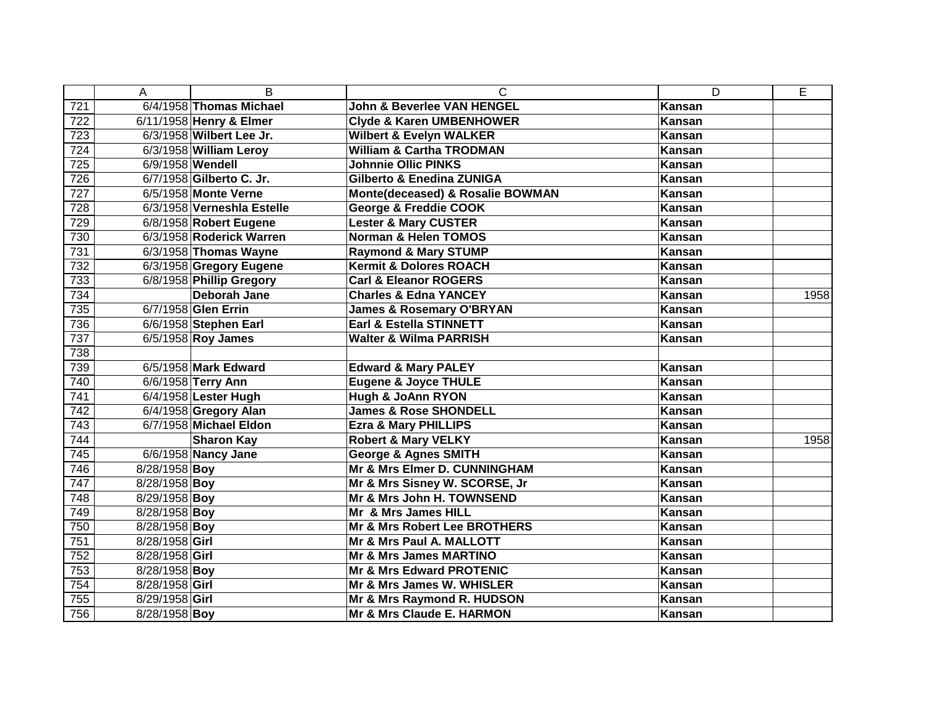|     | Α              | B                          | C                                     | D             | E    |
|-----|----------------|----------------------------|---------------------------------------|---------------|------|
| 721 |                | 6/4/1958 Thomas Michael    | <b>John &amp; Beverlee VAN HENGEL</b> | Kansan        |      |
| 722 |                | 6/11/1958 Henry & Elmer    | <b>Clyde &amp; Karen UMBENHOWER</b>   | <b>Kansan</b> |      |
| 723 |                | 6/3/1958 Wilbert Lee Jr.   | <b>Wilbert &amp; Evelyn WALKER</b>    | <b>Kansan</b> |      |
| 724 |                | 6/3/1958 William Leroy     | <b>William &amp; Cartha TRODMAN</b>   | <b>Kansan</b> |      |
| 725 |                | 6/9/1958 Wendell           | <b>Johnnie Ollic PINKS</b>            | <b>Kansan</b> |      |
| 726 |                | 6/7/1958 Gilberto C. Jr.   | <b>Gilberto &amp; Enedina ZUNIGA</b>  | Kansan        |      |
| 727 |                | 6/5/1958 Monte Verne       | Monte(deceased) & Rosalie BOWMAN      | <b>Kansan</b> |      |
| 728 |                | 6/3/1958 Verneshla Estelle | <b>George &amp; Freddie COOK</b>      | Kansan        |      |
| 729 |                | 6/8/1958 Robert Eugene     | <b>Lester &amp; Mary CUSTER</b>       | Kansan        |      |
| 730 |                | 6/3/1958 Roderick Warren   | <b>Norman &amp; Helen TOMOS</b>       | Kansan        |      |
| 731 |                | 6/3/1958 Thomas Wayne      | <b>Raymond &amp; Mary STUMP</b>       | Kansan        |      |
| 732 |                | 6/3/1958 Gregory Eugene    | <b>Kermit &amp; Dolores ROACH</b>     | Kansan        |      |
| 733 |                | 6/8/1958 Phillip Gregory   | <b>Carl &amp; Eleanor ROGERS</b>      | Kansan        |      |
| 734 |                | <b>Deborah Jane</b>        | <b>Charles &amp; Edna YANCEY</b>      | Kansan        | 1958 |
| 735 |                | 6/7/1958 Glen Errin        | <b>James &amp; Rosemary O'BRYAN</b>   | Kansan        |      |
| 736 |                | 6/6/1958 Stephen Earl      | Earl & Estella STINNETT               | Kansan        |      |
| 737 |                | 6/5/1958 Roy James         | <b>Walter &amp; Wilma PARRISH</b>     | <b>Kansan</b> |      |
| 738 |                |                            |                                       |               |      |
| 739 |                | 6/5/1958 Mark Edward       | <b>Edward &amp; Mary PALEY</b>        | Kansan        |      |
| 740 |                | 6/6/1958 Terry Ann         | <b>Eugene &amp; Joyce THULE</b>       | <b>Kansan</b> |      |
| 741 |                | 6/4/1958 Lester Hugh       | Hugh & JoAnn RYON                     | Kansan        |      |
| 742 |                | 6/4/1958 Gregory Alan      | <b>James &amp; Rose SHONDELL</b>      | <b>Kansan</b> |      |
| 743 |                | 6/7/1958 Michael Eldon     | <b>Ezra &amp; Mary PHILLIPS</b>       | <b>Kansan</b> |      |
| 744 |                | <b>Sharon Kay</b>          | <b>Robert &amp; Mary VELKY</b>        | <b>Kansan</b> | 1958 |
| 745 |                | 6/6/1958 Nancy Jane        | <b>George &amp; Agnes SMITH</b>       | Kansan        |      |
| 746 | 8/28/1958 Boy  |                            | Mr & Mrs Elmer D. CUNNINGHAM          | <b>Kansan</b> |      |
| 747 | 8/28/1958 Boy  |                            | Mr & Mrs Sisney W. SCORSE, Jr         | <b>Kansan</b> |      |
| 748 | 8/29/1958 Boy  |                            | Mr & Mrs John H. TOWNSEND             | Kansan        |      |
| 749 | 8/28/1958 Boy  |                            | Mr & Mrs James HILL                   | Kansan        |      |
| 750 | 8/28/1958 Boy  |                            | Mr & Mrs Robert Lee BROTHERS          | <b>Kansan</b> |      |
| 751 | 8/28/1958 Girl |                            | Mr & Mrs Paul A. MALLOTT              | <b>Kansan</b> |      |
| 752 | 8/28/1958 Girl |                            | Mr & Mrs James MARTINO                | <b>Kansan</b> |      |
| 753 | 8/28/1958 Boy  |                            | <b>Mr &amp; Mrs Edward PROTENIC</b>   | Kansan        |      |
| 754 | 8/28/1958 Girl |                            | Mr & Mrs James W. WHISLER             | <b>Kansan</b> |      |
| 755 | 8/29/1958 Girl |                            | Mr & Mrs Raymond R. HUDSON            | Kansan        |      |
| 756 | 8/28/1958 Boy  |                            | Mr & Mrs Claude E. HARMON             | Kansan        |      |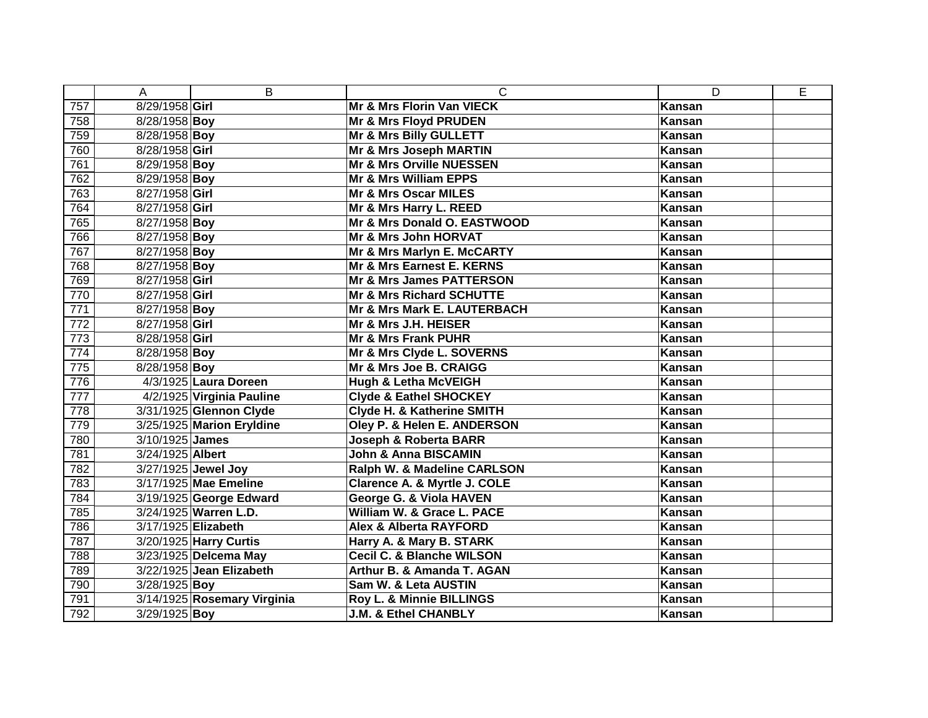|                  | A                   | B                           | C                                    | D             | E |
|------------------|---------------------|-----------------------------|--------------------------------------|---------------|---|
| 757              | 8/29/1958 Girl      |                             | Mr & Mrs Florin Van VIECK            | Kansan        |   |
| 758              | 8/28/1958 Boy       |                             | Mr & Mrs Floyd PRUDEN                | Kansan        |   |
| 759              | 8/28/1958 Boy       |                             | Mr & Mrs Billy GULLETT               | Kansan        |   |
| 760              | 8/28/1958 Girl      |                             | Mr & Mrs Joseph MARTIN               | Kansan        |   |
| 761              | 8/29/1958 Boy       |                             | Mr & Mrs Orville NUESSEN             | Kansan        |   |
| 762              | 8/29/1958 Boy       |                             | <b>Mr &amp; Mrs William EPPS</b>     | Kansan        |   |
| 763              | 8/27/1958 Girl      |                             | Mr & Mrs Oscar MILES                 | Kansan        |   |
| 764              | 8/27/1958 Girl      |                             | Mr & Mrs Harry L. REED               | Kansan        |   |
| 765              | 8/27/1958 Boy       |                             | Mr & Mrs Donald O. EASTWOOD          | Kansan        |   |
| 766              | 8/27/1958 Boy       |                             | <b>Mr &amp; Mrs John HORVAT</b>      | Kansan        |   |
| 767              | 8/27/1958 Boy       |                             | Mr & Mrs Marlyn E. McCARTY           | Kansan        |   |
| 768              | 8/27/1958 Boy       |                             | Mr & Mrs Earnest E. KERNS            | Kansan        |   |
| 769              | 8/27/1958 Girl      |                             | <b>Mr &amp; Mrs James PATTERSON</b>  | Kansan        |   |
| 770              | 8/27/1958 Girl      |                             | <b>Mr &amp; Mrs Richard SCHUTTE</b>  | Kansan        |   |
| $\overline{771}$ | 8/27/1958 Boy       |                             | Mr & Mrs Mark E. LAUTERBACH          | Kansan        |   |
| 772              | 8/27/1958 Girl      |                             | Mr & Mrs J.H. HEISER                 | Kansan        |   |
| 773              | 8/28/1958 Girl      |                             | Mr & Mrs Frank PUHR                  | Kansan        |   |
| $\overline{774}$ | 8/28/1958 Boy       |                             | Mr & Mrs Clyde L. SOVERNS            | Kansan        |   |
| 775              | 8/28/1958 Boy       |                             | Mr & Mrs Joe B. CRAIGG               | Kansan        |   |
| 776              |                     | 4/3/1925 Laura Doreen       | <b>Hugh &amp; Letha McVEIGH</b>      | Kansan        |   |
| 777              |                     | 4/2/1925 Virginia Pauline   | <b>Clyde &amp; Eathel SHOCKEY</b>    | Kansan        |   |
| 778              |                     | 3/31/1925 Glennon Clyde     | Clyde H. & Katherine SMITH           | Kansan        |   |
| 779              |                     | 3/25/1925 Marion Eryldine   | Oley P. & Helen E. ANDERSON          | Kansan        |   |
| 780              | 3/10/1925 James     |                             | <b>Joseph &amp; Roberta BARR</b>     | Kansan        |   |
| 781              | 3/24/1925 Albert    |                             | John & Anna BISCAMIN                 | Kansan        |   |
| 782              |                     | 3/27/1925 Jewel Joy         | Ralph W. & Madeline CARLSON          | Kansan        |   |
| 783              |                     | 3/17/1925 Mae Emeline       | Clarence A. & Myrtle J. COLE         | Kansan        |   |
| 784              |                     | 3/19/1925 George Edward     | George G. & Viola HAVEN              | Kansan        |   |
| 785              |                     | 3/24/1925 Warren L.D.       | William W. & Grace L. PACE           | <b>Kansan</b> |   |
| 786              | 3/17/1925 Elizabeth |                             | <b>Alex &amp; Alberta RAYFORD</b>    | Kansan        |   |
| 787              |                     | 3/20/1925 Harry Curtis      | Harry A. & Mary B. STARK             | Kansan        |   |
| 788              |                     | 3/23/1925 Delcema May       | <b>Cecil C. &amp; Blanche WILSON</b> | Kansan        |   |
| 789              |                     | 3/22/1925 Jean Elizabeth    | Arthur B. & Amanda T. AGAN           | Kansan        |   |
| 790              | 3/28/1925 Boy       |                             | Sam W. & Leta AUSTIN                 | Kansan        |   |
| 791              |                     | 3/14/1925 Rosemary Virginia | Roy L. & Minnie BILLINGS             | Kansan        |   |
| 792              | 3/29/1925 Boy       |                             | <b>J.M. &amp; Ethel CHANBLY</b>      | Kansan        |   |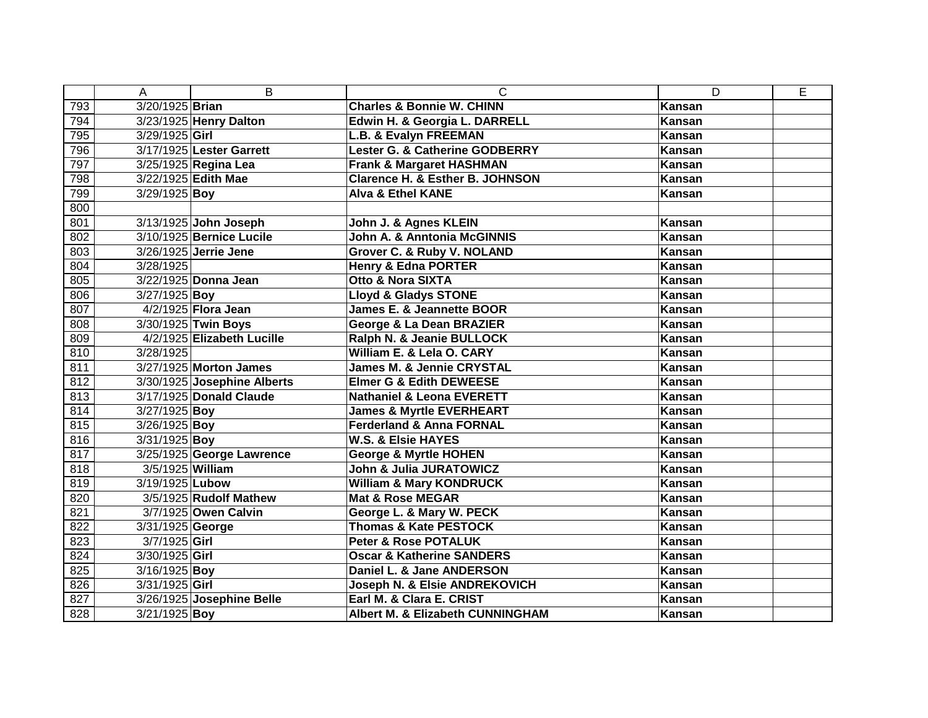|     | A                | B                           | C                                           | D             | E |
|-----|------------------|-----------------------------|---------------------------------------------|---------------|---|
| 793 | 3/20/1925 Brian  |                             | <b>Charles &amp; Bonnie W. CHINN</b>        | <b>Kansan</b> |   |
| 794 |                  | 3/23/1925 Henry Dalton      | Edwin H. & Georgia L. DARRELL               | <b>Kansan</b> |   |
| 795 | 3/29/1925 Girl   |                             | L.B. & Evalyn FREEMAN                       | Kansan        |   |
| 796 |                  | 3/17/1925 Lester Garrett    | Lester G. & Catherine GODBERRY              | Kansan        |   |
| 797 |                  | 3/25/1925 Regina Lea        | <b>Frank &amp; Margaret HASHMAN</b>         | Kansan        |   |
| 798 |                  | 3/22/1925 Edith Mae         | <b>Clarence H. &amp; Esther B. JOHNSON</b>  | Kansan        |   |
| 799 | 3/29/1925 Boy    |                             | <b>Alva &amp; Ethel KANE</b>                | Kansan        |   |
| 800 |                  |                             |                                             |               |   |
| 801 |                  | 3/13/1925 John Joseph       | John J. & Agnes KLEIN                       | Kansan        |   |
| 802 |                  | 3/10/1925 Bernice Lucile    | John A. & Anntonia McGINNIS                 | <b>Kansan</b> |   |
| 803 |                  | 3/26/1925 Jerrie Jene       | Grover C. & Ruby V. NOLAND                  | Kansan        |   |
| 804 | 3/28/1925        |                             | <b>Henry &amp; Edna PORTER</b>              | Kansan        |   |
| 805 |                  | 3/22/1925 Donna Jean        | <b>Otto &amp; Nora SIXTA</b>                | Kansan        |   |
| 806 | 3/27/1925 Boy    |                             | <b>Lloyd &amp; Gladys STONE</b>             | Kansan        |   |
| 807 |                  | 4/2/1925 Flora Jean         | <b>James E. &amp; Jeannette BOOR</b>        | Kansan        |   |
| 808 |                  | 3/30/1925 Twin Boys         | George & La Dean BRAZIER                    | Kansan        |   |
| 809 |                  | 4/2/1925 Elizabeth Lucille  | Ralph N. & Jeanie BULLOCK                   | Kansan        |   |
| 810 | 3/28/1925        |                             | William E. & Lela O. CARY                   | Kansan        |   |
| 811 |                  | 3/27/1925 Morton James      | <b>James M. &amp; Jennie CRYSTAL</b>        | Kansan        |   |
| 812 |                  | 3/30/1925 Josephine Alberts | <b>Elmer G &amp; Edith DEWEESE</b>          | Kansan        |   |
| 813 |                  | 3/17/1925 Donald Claude     | <b>Nathaniel &amp; Leona EVERETT</b>        | Kansan        |   |
| 814 | 3/27/1925 Boy    |                             | <b>James &amp; Myrtle EVERHEART</b>         | Kansan        |   |
| 815 | 3/26/1925 Boy    |                             | <b>Ferderland &amp; Anna FORNAL</b>         | Kansan        |   |
| 816 | 3/31/1925 Boy    |                             | <b>W.S. &amp; Elsie HAYES</b>               | Kansan        |   |
| 817 |                  | 3/25/1925 George Lawrence   | <b>George &amp; Myrtle HOHEN</b>            | Kansan        |   |
| 818 | 3/5/1925 William |                             | John & Julia JURATOWICZ                     | <b>Kansan</b> |   |
| 819 | 3/19/1925 Lubow  |                             | <b>William &amp; Mary KONDRUCK</b>          | Kansan        |   |
| 820 |                  | 3/5/1925 Rudolf Mathew      | <b>Mat &amp; Rose MEGAR</b>                 | Kansan        |   |
| 821 |                  | 3/7/1925 Owen Calvin        | George L. & Mary W. PECK                    | <b>Kansan</b> |   |
| 822 | 3/31/1925 George |                             | <b>Thomas &amp; Kate PESTOCK</b>            | Kansan        |   |
| 823 | $3/7/1925$ Girl  |                             | <b>Peter &amp; Rose POTALUK</b>             | <b>Kansan</b> |   |
| 824 | 3/30/1925 Girl   |                             | <b>Oscar &amp; Katherine SANDERS</b>        | Kansan        |   |
| 825 | 3/16/1925 Boy    |                             | Daniel L. & Jane ANDERSON                   | Kansan        |   |
| 826 | 3/31/1925 Girl   |                             | Joseph N. & Elsie ANDREKOVICH               | Kansan        |   |
| 827 |                  | 3/26/1925 Josephine Belle   | Earl M. & Clara E. CRIST                    | Kansan        |   |
| 828 | 3/21/1925 Boy    |                             | <b>Albert M. &amp; Elizabeth CUNNINGHAM</b> | Kansan        |   |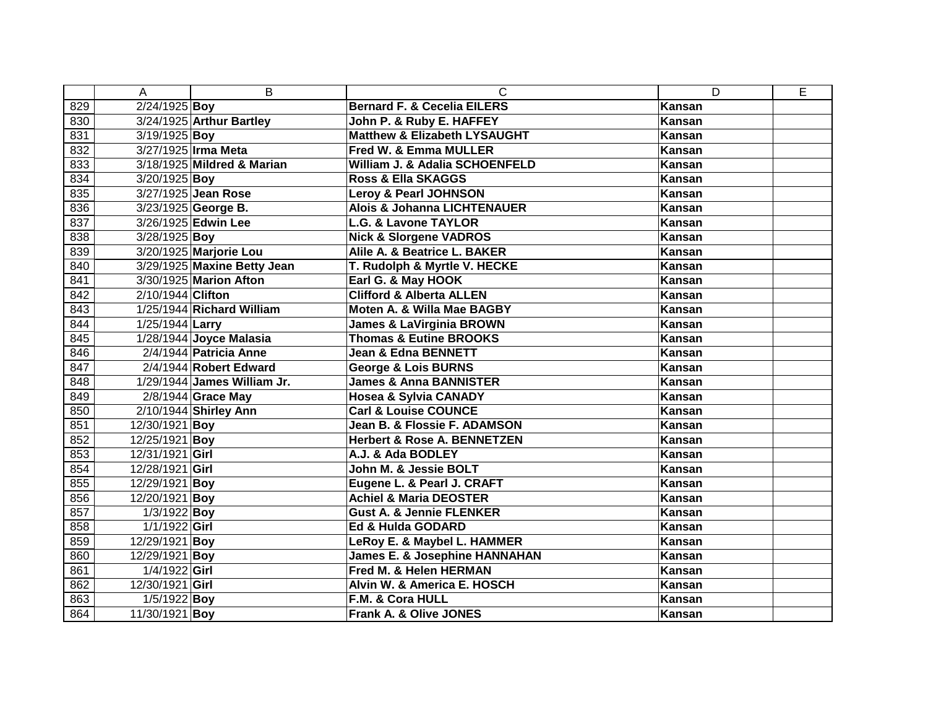|     | A                       | B                           | C                                        | D             | E |
|-----|-------------------------|-----------------------------|------------------------------------------|---------------|---|
| 829 | 2/24/1925 Boy           |                             | <b>Bernard F. &amp; Cecelia EILERS</b>   | Kansan        |   |
| 830 |                         | 3/24/1925 Arthur Bartley    | John P. & Ruby E. HAFFEY                 | <b>Kansan</b> |   |
| 831 | 3/19/1925 Boy           |                             | <b>Matthew &amp; Elizabeth LYSAUGHT</b>  | <b>Kansan</b> |   |
| 832 |                         | 3/27/1925 Irma Meta         | <b>Fred W. &amp; Emma MULLER</b>         | Kansan        |   |
| 833 |                         | 3/18/1925 Mildred & Marian  | William J. & Adalia SCHOENFELD           | Kansan        |   |
| 834 | 3/20/1925 Boy           |                             | <b>Ross &amp; Ella SKAGGS</b>            | Kansan        |   |
| 835 |                         | 3/27/1925 Jean Rose         | <b>Leroy &amp; Pearl JOHNSON</b>         | Kansan        |   |
| 836 |                         | 3/23/1925 George B.         | <b>Alois &amp; Johanna LICHTENAUER</b>   | Kansan        |   |
| 837 |                         | 3/26/1925 Edwin Lee         | <b>L.G. &amp; Lavone TAYLOR</b>          | Kansan        |   |
| 838 | 3/28/1925 Boy           |                             | <b>Nick &amp; Slorgene VADROS</b>        | Kansan        |   |
| 839 |                         | 3/20/1925 Marjorie Lou      | Alile A. & Beatrice L. BAKER             | Kansan        |   |
| 840 |                         | 3/29/1925 Maxine Betty Jean | T. Rudolph & Myrtle V. HECKE             | Kansan        |   |
| 841 |                         | 3/30/1925 Marion Afton      | Earl G. & May HOOK                       | Kansan        |   |
| 842 | 2/10/1944 Clifton       |                             | <b>Clifford &amp; Alberta ALLEN</b>      | Kansan        |   |
| 843 |                         | 1/25/1944 Richard William   | Moten A. & Willa Mae BAGBY               | Kansan        |   |
| 844 | 1/25/1944 Larry         |                             | <b>James &amp; LaVirginia BROWN</b>      | <b>Kansan</b> |   |
| 845 |                         | 1/28/1944 Joyce Malasia     | <b>Thomas &amp; Eutine BROOKS</b>        | Kansan        |   |
| 846 |                         | 2/4/1944 Patricia Anne      | <b>Jean &amp; Edna BENNETT</b>           | Kansan        |   |
| 847 |                         | 2/4/1944 Robert Edward      | <b>George &amp; Lois BURNS</b>           | Kansan        |   |
| 848 |                         | 1/29/1944 James William Jr. | <b>James &amp; Anna BANNISTER</b>        | <b>Kansan</b> |   |
| 849 |                         | 2/8/1944 Grace May          | <b>Hosea &amp; Sylvia CANADY</b>         | Kansan        |   |
| 850 |                         | 2/10/1944 Shirley Ann       | <b>Carl &amp; Louise COUNCE</b>          | Kansan        |   |
| 851 | $\sqrt{12}/30/1921$ Boy |                             | Jean B. & Flossie F. ADAMSON             | Kansan        |   |
| 852 | 12/25/1921 Boy          |                             | <b>Herbert &amp; Rose A. BENNETZEN</b>   | Kansan        |   |
| 853 | 12/31/1921 Girl         |                             | A.J. & Ada BODLEY                        | Kansan        |   |
| 854 | 12/28/1921 Girl         |                             | John M. & Jessie BOLT                    | <b>Kansan</b> |   |
| 855 | 12/29/1921 Boy          |                             | Eugene L. & Pearl J. CRAFT               | Kansan        |   |
| 856 | 12/20/1921 Boy          |                             | <b>Achiel &amp; Maria DEOSTER</b>        | Kansan        |   |
| 857 | 1/3/1922 Boy            |                             | <b>Gust A. &amp; Jennie FLENKER</b>      | <b>Kansan</b> |   |
| 858 | $1/1/1922$ Girl         |                             | <b>Ed &amp; Hulda GODARD</b>             | <b>Kansan</b> |   |
| 859 | 12/29/1921 Boy          |                             | LeRoy E. & Maybel L. HAMMER              | Kansan        |   |
| 860 | 12/29/1921 Boy          |                             | <b>James E. &amp; Josephine HANNAHAN</b> | <b>Kansan</b> |   |
| 861 | 1/4/1922 Girl           |                             | Fred M. & Helen HERMAN                   | Kansan        |   |
| 862 | 12/30/1921 Girl         |                             | Alvin W. & America E. HOSCH              | Kansan        |   |
| 863 | $1/5/1922$ Boy          |                             | F.M. & Cora HULL                         | Kansan        |   |
| 864 | 11/30/1921 Boy          |                             | Frank A. & Olive JONES                   | Kansan        |   |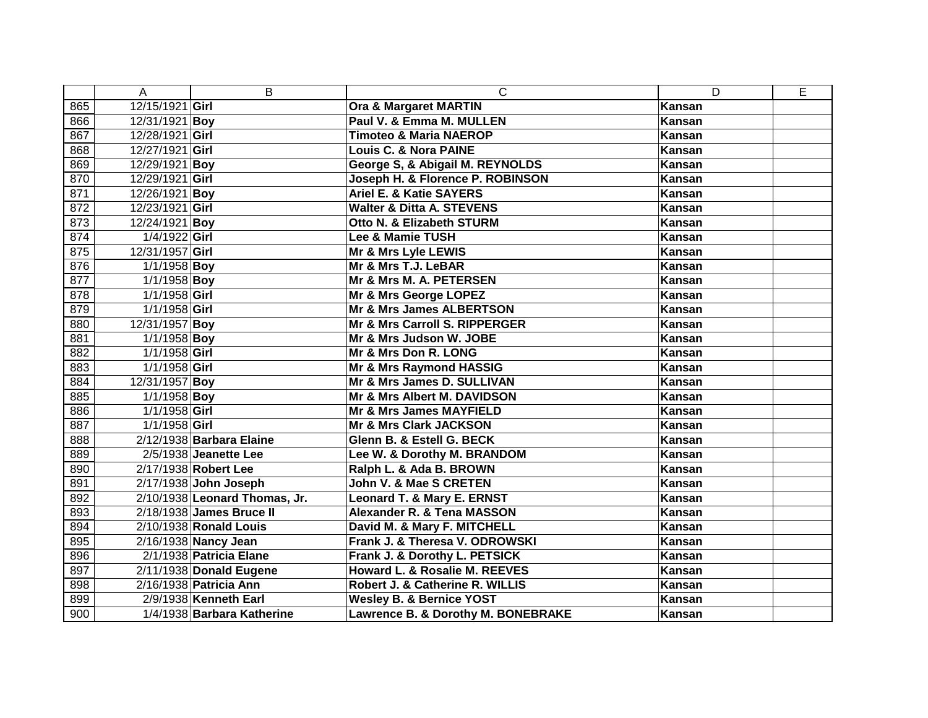|     | A               | B                             | $\mathsf{C}$                        | D      | E |
|-----|-----------------|-------------------------------|-------------------------------------|--------|---|
| 865 | 12/15/1921 Girl |                               | Ora & Margaret MARTIN               | Kansan |   |
| 866 | 12/31/1921 Boy  |                               | Paul V. & Emma M. MULLEN            | Kansan |   |
| 867 | 12/28/1921 Girl |                               | <b>Timoteo &amp; Maria NAEROP</b>   | Kansan |   |
| 868 | 12/27/1921 Girl |                               | <b>Louis C. &amp; Nora PAINE</b>    | Kansan |   |
| 869 | 12/29/1921 Boy  |                               | George S, & Abigail M. REYNOLDS     | Kansan |   |
| 870 | 12/29/1921 Girl |                               | Joseph H. & Florence P. ROBINSON    | Kansan |   |
| 871 | 12/26/1921 Boy  |                               | <b>Ariel E. &amp; Katie SAYERS</b>  | Kansan |   |
| 872 | 12/23/1921 Girl |                               | Walter & Ditta A. STEVENS           | Kansan |   |
| 873 | 12/24/1921 Boy  |                               | Otto N. & Elizabeth STURM           | Kansan |   |
| 874 | 1/4/1922 Girl   |                               | Lee & Mamie TUSH                    | Kansan |   |
| 875 | 12/31/1957 Girl |                               | Mr & Mrs Lyle LEWIS                 | Kansan |   |
| 876 | $1/1/1958$ Boy  |                               | Mr & Mrs T.J. LeBAR                 | Kansan |   |
| 877 | 1/1/1958 Boy    |                               | Mr & Mrs M. A. PETERSEN             | Kansan |   |
| 878 | 1/1/1958 Girl   |                               | Mr & Mrs George LOPEZ               | Kansan |   |
| 879 | 1/1/1958 Girl   |                               | Mr & Mrs James ALBERTSON            | Kansan |   |
| 880 | 12/31/1957 Boy  |                               | Mr & Mrs Carroll S. RIPPERGER       | Kansan |   |
| 881 | 1/1/1958 Boy    |                               | Mr & Mrs Judson W. JOBE             | Kansan |   |
| 882 | $1/1/1958$ Girl |                               | Mr & Mrs Don R. LONG                | Kansan |   |
| 883 | $1/1/1958$ Girl |                               | Mr & Mrs Raymond HASSIG             | Kansan |   |
| 884 | 12/31/1957 Boy  |                               | Mr & Mrs James D. SULLIVAN          | Kansan |   |
| 885 | 1/1/1958 Boy    |                               | Mr & Mrs Albert M. DAVIDSON         | Kansan |   |
| 886 | 1/1/1958 Girl   |                               | Mr & Mrs James MAYFIELD             | Kansan |   |
| 887 | 1/1/1958 Girl   |                               | <b>Mr &amp; Mrs Clark JACKSON</b>   | Kansan |   |
| 888 |                 | 2/12/1938 Barbara Elaine      | Glenn B. & Estell G. BECK           | Kansan |   |
| 889 |                 | 2/5/1938 Jeanette Lee         | Lee W. & Dorothy M. BRANDOM         | Kansan |   |
| 890 |                 | 2/17/1938 Robert Lee          | Ralph L. & Ada B. BROWN             | Kansan |   |
| 891 |                 | 2/17/1938 John Joseph         | John V. & Mae S CRETEN              | Kansan |   |
| 892 |                 | 2/10/1938 Leonard Thomas, Jr. | Leonard T. & Mary E. ERNST          | Kansan |   |
| 893 |                 | 2/18/1938 James Bruce II      | Alexander R. & Tena MASSON          | Kansan |   |
| 894 |                 | 2/10/1938 Ronald Louis        | David M. & Mary F. MITCHELL         | Kansan |   |
| 895 |                 | 2/16/1938 Nancy Jean          | Frank J. & Theresa V. ODROWSKI      | Kansan |   |
| 896 |                 | 2/1/1938 Patricia Elane       | Frank J. & Dorothy L. PETSICK       | Kansan |   |
| 897 |                 | 2/11/1938 Donald Eugene       | Howard L. & Rosalie M. REEVES       | Kansan |   |
| 898 |                 | 2/16/1938 Patricia Ann        | Robert J. & Catherine R. WILLIS     | Kansan |   |
| 899 |                 | 2/9/1938 Kenneth Earl         | <b>Wesley B. &amp; Bernice YOST</b> | Kansan |   |
| 900 |                 | 1/4/1938 Barbara Katherine    | Lawrence B. & Dorothy M. BONEBRAKE  | Kansan |   |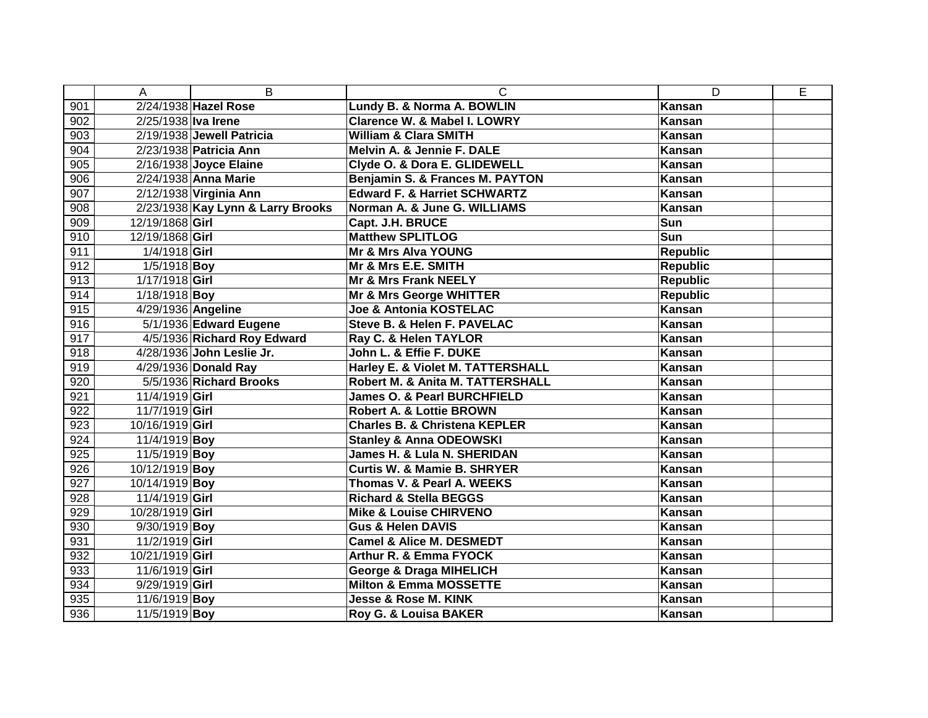|     | A                   | B                                 | C                                        | D               | E |
|-----|---------------------|-----------------------------------|------------------------------------------|-----------------|---|
| 901 |                     | 2/24/1938 Hazel Rose              | Lundy B. & Norma A. BOWLIN               | <b>Kansan</b>   |   |
| 902 | 2/25/1938 Iva Irene |                                   | Clarence W. & Mabel I. LOWRY             | <b>Kansan</b>   |   |
| 903 |                     | 2/19/1938 Jewell Patricia         | <b>William &amp; Clara SMITH</b>         | Kansan          |   |
| 904 |                     | 2/23/1938 Patricia Ann            | Melvin A. & Jennie F. DALE               | Kansan          |   |
| 905 |                     | 2/16/1938 Joyce Elaine            | Clyde O. & Dora E. GLIDEWELL             | Kansan          |   |
| 906 |                     | 2/24/1938 Anna Marie              | Benjamin S. & Frances M. PAYTON          | Kansan          |   |
| 907 |                     | 2/12/1938 Virginia Ann            | <b>Edward F. &amp; Harriet SCHWARTZ</b>  | Kansan          |   |
| 908 |                     | 2/23/1938 Kay Lynn & Larry Brooks | Norman A. & June G. WILLIAMS             | Kansan          |   |
| 909 | 12/19/1868 Girl     |                                   | Capt. J.H. BRUCE                         | Sun             |   |
| 910 | 12/19/1868 Girl     |                                   | <b>Matthew SPLITLOG</b>                  | Sun             |   |
| 911 | 1/4/1918 Girl       |                                   | Mr & Mrs Alva YOUNG                      | <b>Republic</b> |   |
| 912 | $1/5/1918$ Boy      |                                   | Mr & Mrs E.E. SMITH                      | <b>Republic</b> |   |
| 913 | 1/17/1918 Girl      |                                   | <b>Mr &amp; Mrs Frank NEELY</b>          | <b>Republic</b> |   |
| 914 | 1/18/1918 Boy       |                                   | Mr & Mrs George WHITTER                  | <b>Republic</b> |   |
| 915 | 4/29/1936 Angeline  |                                   | Joe & Antonia KOSTELAC                   | Kansan          |   |
| 916 |                     | 5/1/1936 Edward Eugene            | Steve B. & Helen F. PAVELAC              | <b>Kansan</b>   |   |
| 917 |                     | 4/5/1936 Richard Roy Edward       | Ray C. & Helen TAYLOR                    | Kansan          |   |
| 918 |                     | 4/28/1936 John Leslie Jr.         | John L. & Effie F. DUKE                  | Kansan          |   |
| 919 |                     | 4/29/1936 Donald Ray              | Harley E. & Violet M. TATTERSHALL        | Kansan          |   |
| 920 |                     | 5/5/1936 Richard Brooks           | Robert M. & Anita M. TATTERSHALL         | Kansan          |   |
| 921 | 11/4/1919 Girl      |                                   | <b>James O. &amp; Pearl BURCHFIELD</b>   | Kansan          |   |
| 922 | 11/7/1919 Girl      |                                   | <b>Robert A. &amp; Lottie BROWN</b>      | Kansan          |   |
| 923 | 10/16/1919 Girl     |                                   | <b>Charles B. &amp; Christena KEPLER</b> | Kansan          |   |
| 924 | 11/4/1919 Boy       |                                   | <b>Stanley &amp; Anna ODEOWSKI</b>       | Kansan          |   |
| 925 | 11/5/1919 Boy       |                                   | James H. & Lula N. SHERIDAN              | Kansan          |   |
| 926 | 10/12/1919 Boy      |                                   | <b>Curtis W. &amp; Mamie B. SHRYER</b>   | Kansan          |   |
| 927 | 10/14/1919 Boy      |                                   | Thomas V. & Pearl A. WEEKS               | Kansan          |   |
| 928 | 11/4/1919 Girl      |                                   | <b>Richard &amp; Stella BEGGS</b>        | Kansan          |   |
| 929 | 10/28/1919 Girl     |                                   | <b>Mike &amp; Louise CHIRVENO</b>        | <b>Kansan</b>   |   |
| 930 | $9/30/1919$ Boy     |                                   | <b>Gus &amp; Helen DAVIS</b>             | Kansan          |   |
| 931 | 11/2/1919 Girl      |                                   | <b>Camel &amp; Alice M. DESMEDT</b>      | Kansan          |   |
| 932 | 10/21/1919 Girl     |                                   | Arthur R. & Emma FYOCK                   | Kansan          |   |
| 933 | 11/6/1919 Girl      |                                   | <b>George &amp; Draga MIHELICH</b>       | Kansan          |   |
| 934 | 9/29/1919 Girl      |                                   | <b>Milton &amp; Emma MOSSETTE</b>        | Kansan          |   |
| 935 | 11/6/1919 Boy       |                                   | <b>Jesse &amp; Rose M. KINK</b>          | Kansan          |   |
| 936 | 11/5/1919 Boy       |                                   | Roy G. & Louisa BAKER                    | Kansan          |   |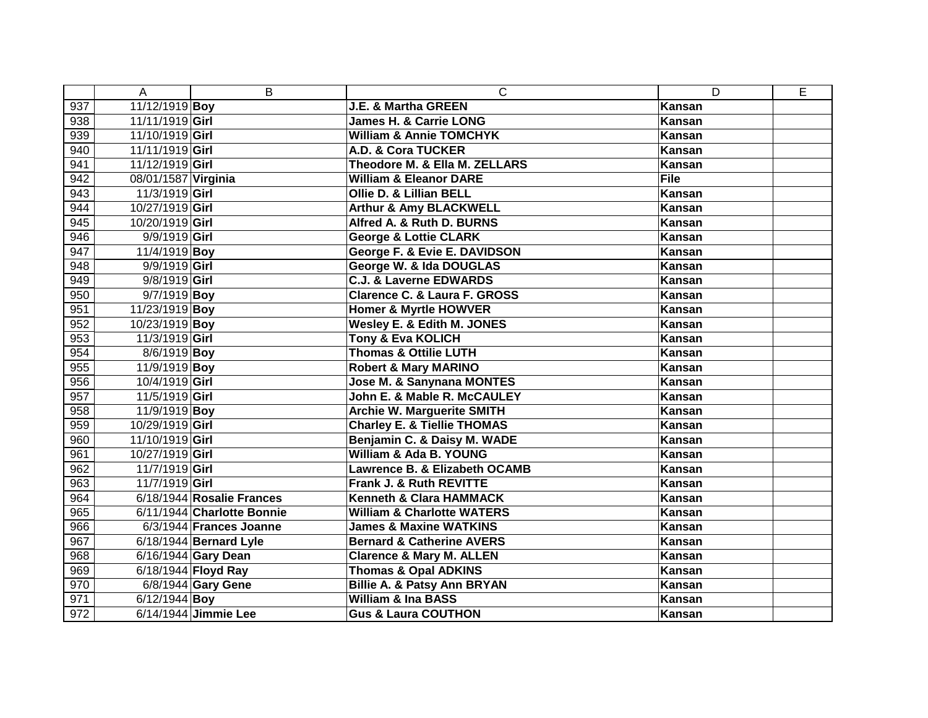|     | Α                   | B                          | $\mathsf{C}$                            | D           | E |
|-----|---------------------|----------------------------|-----------------------------------------|-------------|---|
| 937 | 11/12/1919 Boy      |                            | J.E. & Martha GREEN                     | Kansan      |   |
| 938 | 11/11/1919 Girl     |                            | <b>James H. &amp; Carrie LONG</b>       | Kansan      |   |
| 939 | 11/10/1919 Girl     |                            | William & Annie TOMCHYK                 | Kansan      |   |
| 940 | 11/11/1919 Girl     |                            | A.D. & Cora TUCKER                      | Kansan      |   |
| 941 | 11/12/1919 Girl     |                            | Theodore M. & Ella M. ZELLARS           | Kansan      |   |
| 942 | 08/01/1587 Virginia |                            | <b>William &amp; Eleanor DARE</b>       | <b>File</b> |   |
| 943 | 11/3/1919 Girl      |                            | Ollie D. & Lillian BELL                 | Kansan      |   |
| 944 | 10/27/1919 Girl     |                            | <b>Arthur &amp; Amy BLACKWELL</b>       | Kansan      |   |
| 945 | 10/20/1919 Girl     |                            | Alfred A. & Ruth D. BURNS               | Kansan      |   |
| 946 | 9/9/1919 Girl       |                            | <b>George &amp; Lottie CLARK</b>        | Kansan      |   |
| 947 | 11/4/1919 Boy       |                            | George F. & Evie E. DAVIDSON            | Kansan      |   |
| 948 | 9/9/1919 Girl       |                            | George W. & Ida DOUGLAS                 | Kansan      |   |
| 949 | 9/8/1919 Girl       |                            | <b>C.J. &amp; Laverne EDWARDS</b>       | Kansan      |   |
| 950 | 9/7/1919 Boy        |                            | <b>Clarence C. &amp; Laura F. GROSS</b> | Kansan      |   |
| 951 | 11/23/1919 Boy      |                            | <b>Homer &amp; Myrtle HOWVER</b>        | Kansan      |   |
| 952 | 10/23/1919 Boy      |                            | Wesley E. & Edith M. JONES              | Kansan      |   |
| 953 | 11/3/1919 Girl      |                            | <b>Tony &amp; Eva KOLICH</b>            | Kansan      |   |
| 954 | 8/6/1919 Boy        |                            | <b>Thomas &amp; Ottilie LUTH</b>        | Kansan      |   |
| 955 | 11/9/1919 Boy       |                            | <b>Robert &amp; Mary MARINO</b>         | Kansan      |   |
| 956 | 10/4/1919 Girl      |                            | Jose M. & Sanynana MONTES               | Kansan      |   |
| 957 | 11/5/1919 Girl      |                            | John E. & Mable R. McCAULEY             | Kansan      |   |
| 958 | 11/9/1919 Boy       |                            | <b>Archie W. Marguerite SMITH</b>       | Kansan      |   |
| 959 | 10/29/1919 Girl     |                            | <b>Charley E. &amp; Tiellie THOMAS</b>  | Kansan      |   |
| 960 | 11/10/1919 Girl     |                            | Benjamin C. & Daisy M. WADE             | Kansan      |   |
| 961 | 10/27/1919 Girl     |                            | William & Ada B. YOUNG                  | Kansan      |   |
| 962 | 11/7/1919 Girl      |                            | Lawrence B. & Elizabeth OCAMB           | Kansan      |   |
| 963 | 11/7/1919 Girl      |                            | Frank J. & Ruth REVITTE                 | Kansan      |   |
| 964 |                     | 6/18/1944 Rosalie Frances  | Kenneth & Clara HAMMACK                 | Kansan      |   |
| 965 |                     | 6/11/1944 Charlotte Bonnie | <b>William &amp; Charlotte WATERS</b>   | Kansan      |   |
| 966 |                     | 6/3/1944 Frances Joanne    | <b>James &amp; Maxine WATKINS</b>       | Kansan      |   |
| 967 |                     | 6/18/1944 Bernard Lyle     | <b>Bernard &amp; Catherine AVERS</b>    | Kansan      |   |
| 968 |                     | 6/16/1944 Gary Dean        | <b>Clarence &amp; Mary M. ALLEN</b>     | Kansan      |   |
| 969 |                     | 6/18/1944 Floyd Ray        | <b>Thomas &amp; Opal ADKINS</b>         | Kansan      |   |
| 970 |                     | 6/8/1944 Gary Gene         | <b>Billie A. &amp; Patsy Ann BRYAN</b>  | Kansan      |   |
| 971 | 6/12/1944 Boy       |                            | <b>William &amp; Ina BASS</b>           | Kansan      |   |
| 972 |                     | 6/14/1944 Jimmie Lee       | <b>Gus &amp; Laura COUTHON</b>          | Kansan      |   |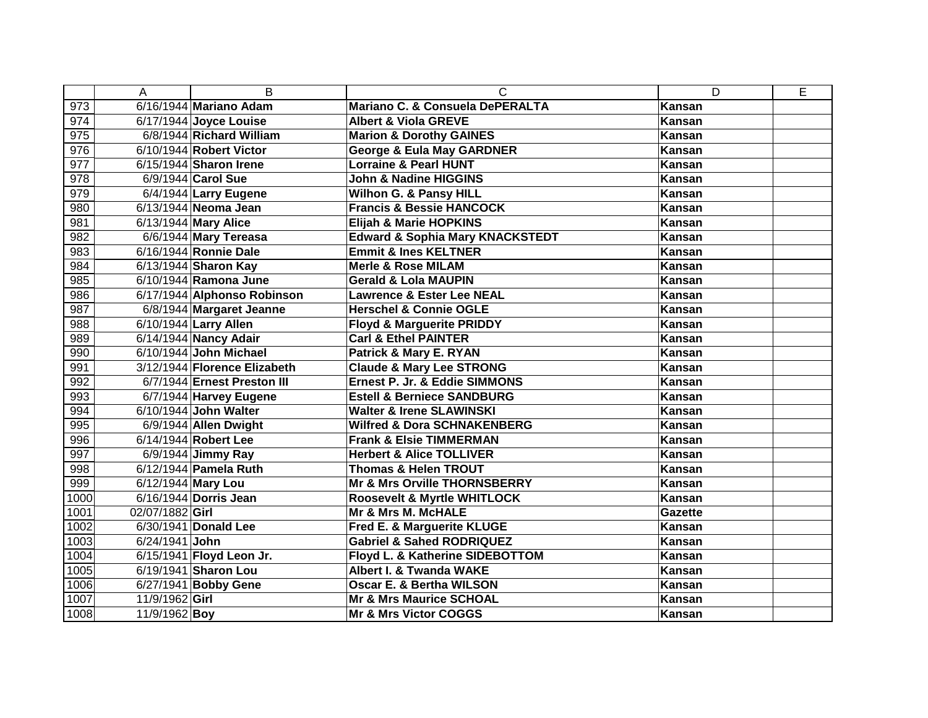|      | A                  | B                            | C                                          | D              | E |
|------|--------------------|------------------------------|--------------------------------------------|----------------|---|
| 973  |                    | 6/16/1944 Mariano Adam       | Mariano C. & Consuela DePERALTA            | <b>Kansan</b>  |   |
| 974  |                    | 6/17/1944 Joyce Louise       | <b>Albert &amp; Viola GREVE</b>            | <b>Kansan</b>  |   |
| 975  |                    | 6/8/1944 Richard William     | <b>Marion &amp; Dorothy GAINES</b>         | Kansan         |   |
| 976  |                    | 6/10/1944 Robert Victor      | <b>George &amp; Eula May GARDNER</b>       | Kansan         |   |
| 977  |                    | 6/15/1944 Sharon Irene       | <b>Lorraine &amp; Pearl HUNT</b>           | Kansan         |   |
| 978  |                    | 6/9/1944 Carol Sue           | John & Nadine HIGGINS                      | Kansan         |   |
| 979  |                    | 6/4/1944 Larry Eugene        | <b>Wilhon G. &amp; Pansy HILL</b>          | Kansan         |   |
| 980  |                    | 6/13/1944 Neoma Jean         | <b>Francis &amp; Bessie HANCOCK</b>        | Kansan         |   |
| 981  |                    | 6/13/1944 Mary Alice         | Elijah & Marie HOPKINS                     | Kansan         |   |
| 982  |                    | 6/6/1944 Mary Tereasa        | <b>Edward &amp; Sophia Mary KNACKSTEDT</b> | Kansan         |   |
| 983  |                    | 6/16/1944 Ronnie Dale        | <b>Emmit &amp; Ines KELTNER</b>            | Kansan         |   |
| 984  |                    | 6/13/1944 Sharon Kay         | <b>Merle &amp; Rose MILAM</b>              | Kansan         |   |
| 985  |                    | 6/10/1944 Ramona June        | <b>Gerald &amp; Lola MAUPIN</b>            | Kansan         |   |
| 986  |                    | 6/17/1944 Alphonso Robinson  | <b>Lawrence &amp; Ester Lee NEAL</b>       | Kansan         |   |
| 987  |                    | 6/8/1944 Margaret Jeanne     | <b>Herschel &amp; Connie OGLE</b>          | Kansan         |   |
| 988  |                    | 6/10/1944 Larry Allen        | <b>Floyd &amp; Marguerite PRIDDY</b>       | Kansan         |   |
| 989  |                    | 6/14/1944 Nancy Adair        | <b>Carl &amp; Ethel PAINTER</b>            | Kansan         |   |
| 990  |                    | 6/10/1944 John Michael       | Patrick & Mary E. RYAN                     | Kansan         |   |
| 991  |                    | 3/12/1944 Florence Elizabeth | <b>Claude &amp; Mary Lee STRONG</b>        | Kansan         |   |
| 992  |                    | 6/7/1944 Ernest Preston III  | Ernest P. Jr. & Eddie SIMMONS              | Kansan         |   |
| 993  |                    | 6/7/1944 Harvey Eugene       | <b>Estell &amp; Berniece SANDBURG</b>      | <b>Kansan</b>  |   |
| 994  |                    | 6/10/1944 John Walter        | <b>Walter &amp; Irene SLAWINSKI</b>        | Kansan         |   |
| 995  |                    | 6/9/1944 Allen Dwight        | <b>Wilfred &amp; Dora SCHNAKENBERG</b>     | Kansan         |   |
| 996  |                    | 6/14/1944 Robert Lee         | <b>Frank &amp; Elsie TIMMERMAN</b>         | Kansan         |   |
| 997  |                    | 6/9/1944 Jimmy Ray           | <b>Herbert &amp; Alice TOLLIVER</b>        | Kansan         |   |
| 998  |                    | 6/12/1944 Pamela Ruth        | <b>Thomas &amp; Helen TROUT</b>            | Kansan         |   |
| 999  | 6/12/1944 Mary Lou |                              | Mr & Mrs Orville THORNSBERRY               | Kansan         |   |
| 1000 |                    | 6/16/1944 Dorris Jean        | <b>Roosevelt &amp; Myrtle WHITLOCK</b>     | Kansan         |   |
| 1001 | 02/07/1882 Girl    |                              | <b>Mr &amp; Mrs M. McHALE</b>              | <b>Gazette</b> |   |
| 1002 |                    | 6/30/1941 Donald Lee         | Fred E. & Marguerite KLUGE                 | Kansan         |   |
| 1003 | 6/24/1941 John     |                              | <b>Gabriel &amp; Sahed RODRIQUEZ</b>       | <b>Kansan</b>  |   |
| 1004 |                    | 6/15/1941 Floyd Leon Jr.     | Floyd L. & Katherine SIDEBOTTOM            | Kansan         |   |
| 1005 |                    | 6/19/1941 Sharon Lou         | <b>Albert I. &amp; Twanda WAKE</b>         | Kansan         |   |
| 1006 |                    | 6/27/1941 Bobby Gene         | <b>Oscar E. &amp; Bertha WILSON</b>        | Kansan         |   |
| 1007 | 11/9/1962 Girl     |                              | <b>Mr &amp; Mrs Maurice SCHOAL</b>         | Kansan         |   |
| 1008 | 11/9/1962 Boy      |                              | <b>Mr &amp; Mrs Victor COGGS</b>           | <b>Kansan</b>  |   |